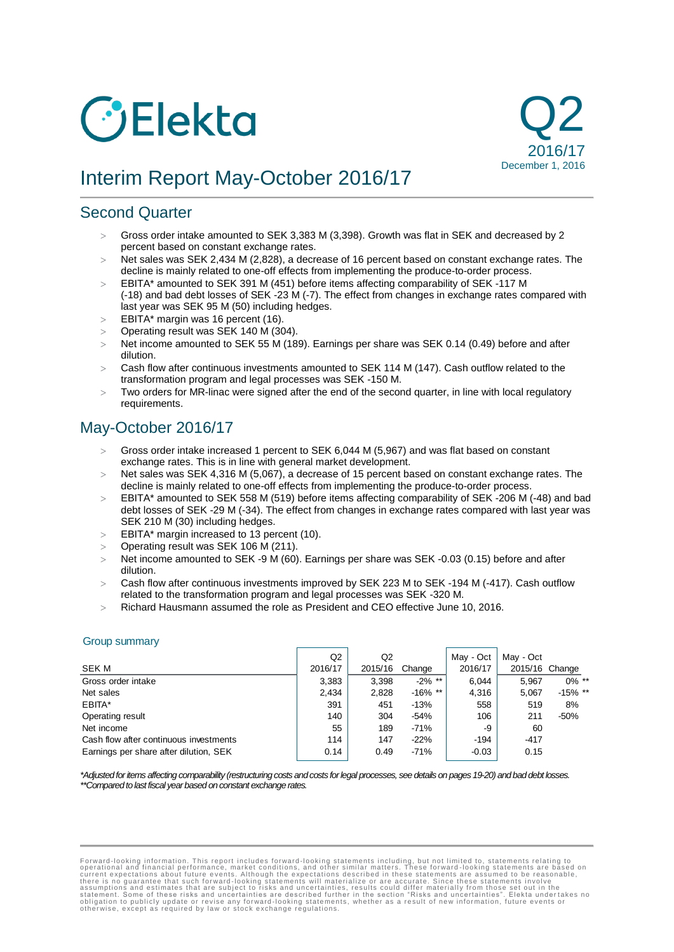# *C* Elekta



# Interim Report May-October 2016/17

## Second Quarter

- Gross order intake amounted to SEK 3,383 M (3,398). Growth was flat in SEK and decreased by 2 percent based on constant exchange rates.
- $>$  Net sales was SEK 2,434 M (2,828), a decrease of 16 percent based on constant exchange rates. The decline is mainly related to one-off effects from implementing the produce-to-order process.
- EBITA\* amounted to SEK 391 M (451) before items affecting comparability of SEK -117 M (-18) and bad debt losses of SEK -23 M (-7). The effect from changes in exchange rates compared with last year was SEK 95 M (50) including hedges.
- $>$  EBITA\* margin was 16 percent (16).
- Operating result was SEK 140 M (304).
- > Net income amounted to SEK 55 M (189). Earnings per share was SEK 0.14 (0.49) before and after dilution.
- Cash flow after continuous investments amounted to SEK 114 M (147). Cash outflow related to the transformation program and legal processes was SEK -150 M.
- $>$  Two orders for MR-linac were signed after the end of the second quarter, in line with local regulatory requirements.

## May-October 2016/17

- Gross order intake increased 1 percent to SEK 6,044 M (5,967) and was flat based on constant exchange rates. This is in line with general market development.
- Net sales was SEK 4,316 M (5,067), a decrease of 15 percent based on constant exchange rates. The decline is mainly related to one-off effects from implementing the produce-to-order process.
- $>$  EBITA\* amounted to SEK 558 M (519) before items affecting comparability of SEK -206 M (-48) and bad debt losses of SEK -29 M (-34). The effect from changes in exchange rates compared with last year was SEK 210 M (30) including hedges.
- $\geq$  EBITA\* margin increased to 13 percent (10).
- Operating result was SEK 106 M (211).
- > Net income amounted to SEK -9 M (60). Earnings per share was SEK -0.03 (0.15) before and after dilution.
- Cash flow after continuous investments improved by SEK 223 M to SEK -194 M (-417). Cash outflow related to the transformation program and legal processes was SEK -320 M.
- Richard Hausmann assumed the role as President and CEO effective June 10, 2016.

#### Group summary

|                                        | Q2      | Q2      |            | May - Oct | May - Oct      |            |
|----------------------------------------|---------|---------|------------|-----------|----------------|------------|
| <b>SEK M</b>                           | 2016/17 | 2015/16 | Change     | 2016/17   | 2015/16 Change |            |
| Gross order intake                     | 3,383   | 3,398   | $-2\%$ **  | 6.044     | 5.967          | $0\%$ **   |
| Net sales                              | 2.434   | 2,828   | $-16\%$ ** | 4.316     | 5.067          | $-15\%$ ** |
| EBITA*                                 | 391     | 451     | $-13%$     | 558       | 519            | 8%         |
| Operating result                       | 140     | 304     | $-54%$     | 106       | 211            | $-50%$     |
| Net income                             | 55      | 189     | $-71%$     | -9        | 60             |            |
| Cash flow after continuous investments | 114     | 147     | $-22%$     | $-194$    | $-417$         |            |
| Earnings per share after dilution, SEK | 0.14    | 0.49    | $-71%$     | $-0.03$   | 0.15           |            |

*\*Adjusted for items affecting comparability (restructuring costs and costs for legal processes, see details on pages 19-20) and bad debt losses. \*\*Compared to last fiscal year based on constant exchange rates.*

Forward-looking information. This report includes forward-looking statements including, but not limited to, statements relating to corrent experational and financial performance, market conditions, and other similar matter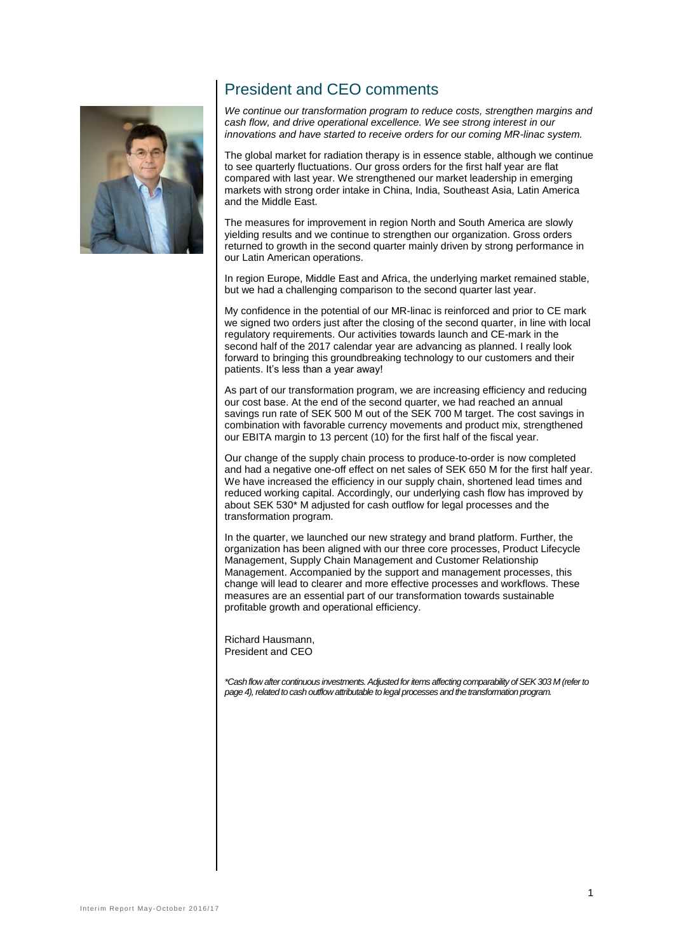

## President and CEO comments

*We continue our transformation program to reduce costs, strengthen margins and cash flow, and drive operational excellence. We see strong interest in our innovations and have started to receive orders for our coming MR-linac system.* 

The global market for radiation therapy is in essence stable, although we continue to see quarterly fluctuations. Our gross orders for the first half year are flat compared with last year. We strengthened our market leadership in emerging markets with strong order intake in China, India, Southeast Asia, Latin America and the Middle East.

The measures for improvement in region North and South America are slowly yielding results and we continue to strengthen our organization. Gross orders returned to growth in the second quarter mainly driven by strong performance in our Latin American operations.

In region Europe, Middle East and Africa, the underlying market remained stable, but we had a challenging comparison to the second quarter last year.

My confidence in the potential of our MR-linac is reinforced and prior to CE mark we signed two orders just after the closing of the second quarter, in line with local regulatory requirements. Our activities towards launch and CE-mark in the second half of the 2017 calendar year are advancing as planned. I really look forward to bringing this groundbreaking technology to our customers and their patients. It's less than a year away!

As part of our transformation program, we are increasing efficiency and reducing our cost base. At the end of the second quarter, we had reached an annual savings run rate of SEK 500 M out of the SEK 700 M target. The cost savings in combination with favorable currency movements and product mix, strengthened our EBITA margin to 13 percent (10) for the first half of the fiscal year.

Our change of the supply chain process to produce-to-order is now completed and had a negative one-off effect on net sales of SEK 650 M for the first half year. We have increased the efficiency in our supply chain, shortened lead times and reduced working capital. Accordingly, our underlying cash flow has improved by about SEK 530\* M adjusted for cash outflow for legal processes and the transformation program.

In the quarter, we launched our new strategy and brand platform. Further, the organization has been aligned with our three core processes, Product Lifecycle Management, Supply Chain Management and Customer Relationship Management. Accompanied by the support and management processes, this change will lead to clearer and more effective processes and workflows. These measures are an essential part of our transformation towards sustainable profitable growth and operational efficiency.

Richard Hausmann, President and CEO

*\*Cash flow after continuous investments. Adjusted for items affecting comparability of SEK 303 M (refer to page 4), related to cash outflow attributable to legal processes and the transformation program.*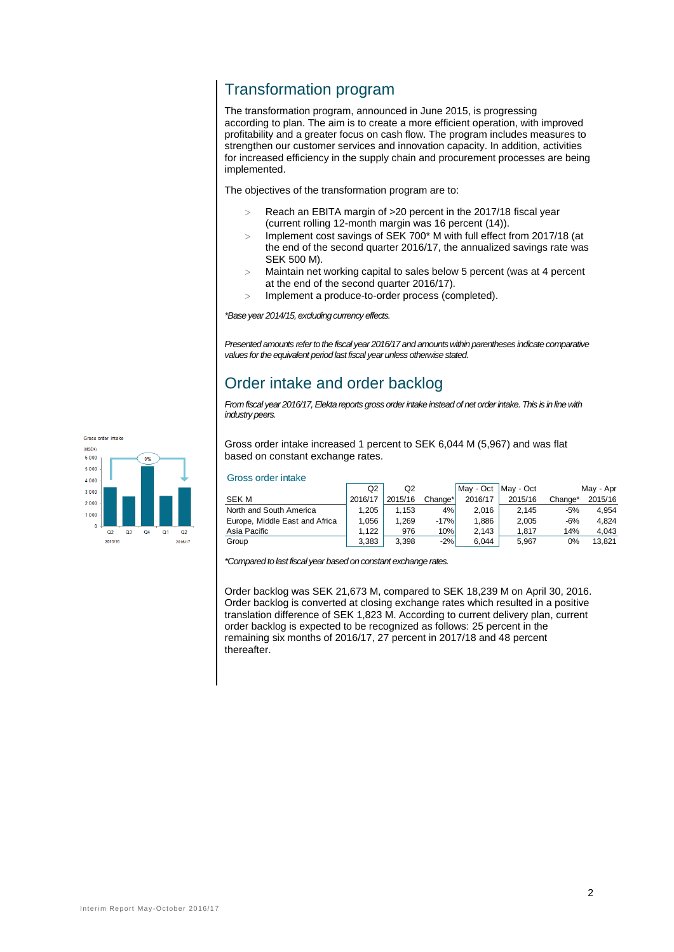## Transformation program

The transformation program, announced in June 2015, is progressing according to plan. The aim is to create a more efficient operation, with improved profitability and a greater focus on cash flow. The program includes measures to strengthen our customer services and innovation capacity. In addition, activities for increased efficiency in the supply chain and procurement processes are being implemented.

The objectives of the transformation program are to:

- Reach an EBITA margin of >20 percent in the 2017/18 fiscal year (current rolling 12-month margin was 16 percent (14)).
- $>$  Implement cost savings of SEK 700\* M with full effect from 2017/18 (at the end of the second quarter 2016/17, the annualized savings rate was SEK 500 M).
- Maintain net working capital to sales below 5 percent (was at 4 percent at the end of the second quarter 2016/17).
- Implement a produce-to-order process (completed).

*\*Base year 2014/15, excluding currency effects.*

*Presented amounts refer to the fiscal year 2016/17 and amounts within parentheses indicate comparative values for the equivalent period last fiscal year unless otherwise stated.* 

## Order intake and order backlog

*From fiscal year 2016/17, Elekta reports gross order intake instead of net order intake. This is in line with industry peers.*



Gross order intake increased 1 percent to SEK 6,044 M (5,967) and was flat based on constant exchange rates.

|  |  | Gross order intake |
|--|--|--------------------|
|--|--|--------------------|

|                                | Q2      | Q2      |         | May - Oct | May - Oct |         | May - Apr |
|--------------------------------|---------|---------|---------|-----------|-----------|---------|-----------|
| <b>SEK M</b>                   | 2016/17 | 2015/16 | Change* | 2016/17   | 2015/16   | Change* | 2015/16   |
| North and South America        | 1.205   | 1.153   | 4%      | 2.016     | 2.145     | $-5%$   | 4.954     |
| Europe, Middle East and Africa | 1.056   | 1.269   | $-17%$  | 1.886     | 2.005     | $-6%$   | 4.824     |
| Asia Pacific                   | 1.122   | 976     | 10%     | 2.143     | 1.817     | 14%     | 4.043     |
| Group                          | 3.383   | 3.398   | $-2%$   | 6.044     | 5.967     | 0%      | 13.821    |

*\*Compared to last fiscal year based on constant exchange rates.*

Order backlog was SEK 21,673 M, compared to SEK 18,239 M on April 30, 2016. Order backlog is converted at closing exchange rates which resulted in a positive translation difference of SEK 1,823 M. According to current delivery plan, current order backlog is expected to be recognized as follows: 25 percent in the remaining six months of 2016/17, 27 percent in 2017/18 and 48 percent thereafter.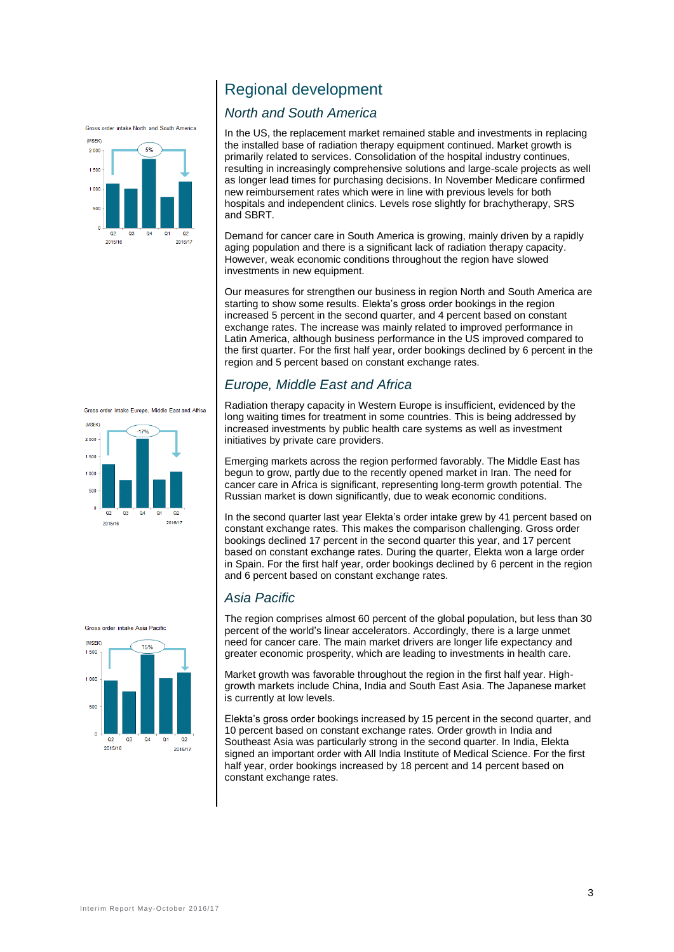



## Regional development

#### *North and South America*

In the US, the replacement market remained stable and investments in replacing the installed base of radiation therapy equipment continued. Market growth is primarily related to services. Consolidation of the hospital industry continues, resulting in increasingly comprehensive solutions and large-scale projects as well as longer lead times for purchasing decisions. In November Medicare confirmed new reimbursement rates which were in line with previous levels for both hospitals and independent clinics. Levels rose slightly for brachytherapy, SRS and SBRT.

Demand for cancer care in South America is growing, mainly driven by a rapidly aging population and there is a significant lack of radiation therapy capacity. However, weak economic conditions throughout the region have slowed investments in new equipment.

Our measures for strengthen our business in region North and South America are starting to show some results. Elekta's gross order bookings in the region increased 5 percent in the second quarter, and 4 percent based on constant exchange rates. The increase was mainly related to improved performance in Latin America, although business performance in the US improved compared to the first quarter. For the first half year, order bookings declined by 6 percent in the region and 5 percent based on constant exchange rates.

## *Europe, Middle East and Africa*

Radiation therapy capacity in Western Europe is insufficient, evidenced by the long waiting times for treatment in some countries. This is being addressed by increased investments by public health care systems as well as investment initiatives by private care providers.

Emerging markets across the region performed favorably. The Middle East has begun to grow, partly due to the recently opened market in Iran. The need for cancer care in Africa is significant, representing long-term growth potential. The Russian market is down significantly, due to weak economic conditions.

In the second quarter last year Elekta's order intake grew by 41 percent based on constant exchange rates. This makes the comparison challenging. Gross order bookings declined 17 percent in the second quarter this year, and 17 percent based on constant exchange rates. During the quarter, Elekta won a large order in Spain. For the first half year, order bookings declined by 6 percent in the region and 6 percent based on constant exchange rates.

## *Asia Pacific*

The region comprises almost 60 percent of the global population, but less than 30 percent of the world's linear accelerators. Accordingly, there is a large unmet need for cancer care. The main market drivers are longer life expectancy and greater economic prosperity, which are leading to investments in health care.

Market growth was favorable throughout the region in the first half year. Highgrowth markets include China, India and South East Asia. The Japanese market is currently at low levels.

Elekta's gross order bookings increased by 15 percent in the second quarter, and 10 percent based on constant exchange rates. Order growth in India and Southeast Asia was particularly strong in the second quarter. In India, Elekta signed an important order with All India Institute of Medical Science. For the first half year, order bookings increased by 18 percent and 14 percent based on constant exchange rates.

Gross order intake Europe, Middle East and Africa



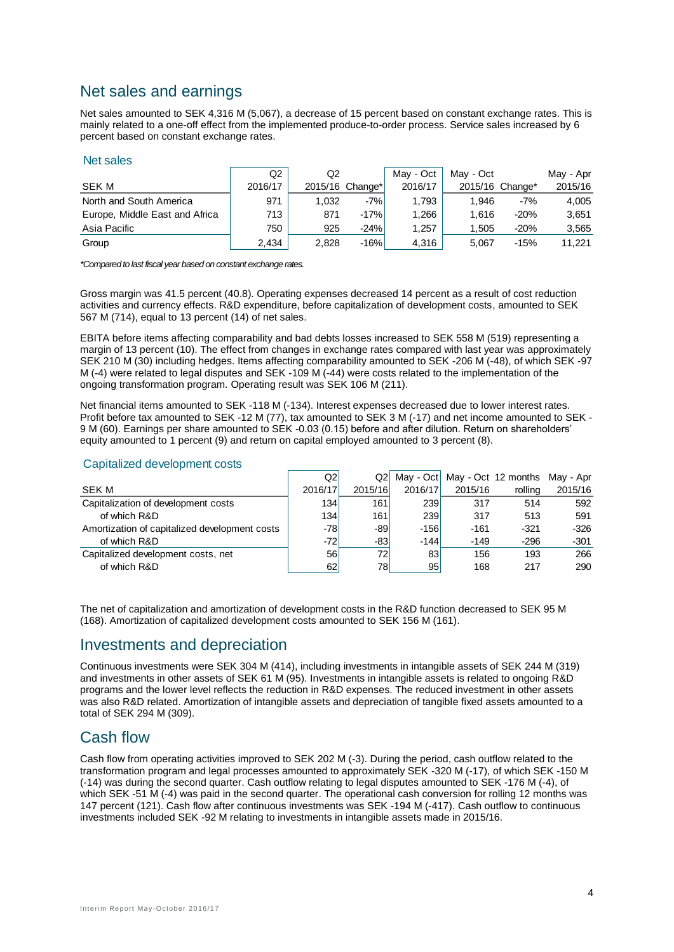## Net sales and earnings

Net sales amounted to SEK 4,316 M (5,067), a decrease of 15 percent based on constant exchange rates. This is mainly related to a one-off effect from the implemented produce-to-order process. Service sales increased by 6 percent based on constant exchange rates.

#### Net sales

|                                | Q2      | Q2    |                 | May - Oct | May - Oct |                 | May - Apr |
|--------------------------------|---------|-------|-----------------|-----------|-----------|-----------------|-----------|
| SEK M                          | 2016/17 |       | 2015/16 Change* | 2016/17   |           | 2015/16 Change* | 2015/16   |
| North and South America        | 971     | 1.032 | $-7%$           | 1.793     | 1.946     | $-7%$           | 4.005     |
| Europe, Middle East and Africa | 713     | 871   | $-17%$          | 1.266     | 1.616     | $-20%$          | 3,651     |
| Asia Pacific                   | 750     | 925   | $-24%$          | 1,257     | 1.505     | $-20%$          | 3,565     |
| Group                          | 2,434   | 2,828 | $-16%$          | 4,316     | 5.067     | -15%            | 11.221    |

*\*Compared to last fiscal year based on constant exchange rates.*

Gross margin was 41.5 percent (40.8). Operating expenses decreased 14 percent as a result of cost reduction activities and currency effects. R&D expenditure, before capitalization of development costs, amounted to SEK 567 M (714), equal to 13 percent (14) of net sales.

EBITA before items affecting comparability and bad debts losses increased to SEK 558 M (519) representing a margin of 13 percent (10). The effect from changes in exchange rates compared with last year was approximately SEK 210 M (30) including hedges. Items affecting comparability amounted to SEK -206 M (-48), of which SEK -97 M (-4) were related to legal disputes and SEK -109 M (-44) were costs related to the implementation of the ongoing transformation program. Operating result was SEK 106 M (211).

Net financial items amounted to SEK -118 M (-134). Interest expenses decreased due to lower interest rates. Profit before tax amounted to SEK -12 M (77), tax amounted to SEK 3 M (-17) and net income amounted to SEK -9 M (60). Earnings per share amounted to SEK -0.03 (0.15) before and after dilution. Return on shareholders' equity amounted to 1 percent (9) and return on capital employed amounted to 3 percent (8).

#### Capitalized development costs

|                                               | Q2      | Q2I             | May - Oct |         | May - Oct 12 months May - Apr |         |
|-----------------------------------------------|---------|-----------------|-----------|---------|-------------------------------|---------|
| <b>SEK M</b>                                  | 2016/17 | 2015/16         | 2016/17   | 2015/16 | rolling                       | 2015/16 |
| Capitalization of development costs           | 134     | 161             | 239       | 317     | 514                           | 592     |
| of which R&D                                  | 134     | 161             | 239       | 317     | 513                           | 591     |
| Amortization of capitalized development costs | -781    | -891            | $-156$    | $-161$  | $-321$                        | $-326$  |
| of which R&D                                  | -721    | -831            | $-144$    | $-149$  | $-296$                        | $-301$  |
| Capitalized development costs, net            | 56      | 72 <sub>1</sub> | 83        | 156     | 193                           | 266     |
| of which R&D                                  | 62      | 78              | 95        | 168     | 217                           | 290     |

The net of capitalization and amortization of development costs in the R&D function decreased to SEK 95 M (168). Amortization of capitalized development costs amounted to SEK 156 M (161).

## Investments and depreciation

Continuous investments were SEK 304 M (414), including investments in intangible assets of SEK 244 M (319) and investments in other assets of SEK 61 M (95). Investments in intangible assets is related to ongoing R&D programs and the lower level reflects the reduction in R&D expenses. The reduced investment in other assets was also R&D related. Amortization of intangible assets and depreciation of tangible fixed assets amounted to a total of SEK 294 M (309).

## Cash flow

Cash flow from operating activities improved to SEK 202 M (-3). During the period, cash outflow related to the transformation program and legal processes amounted to approximately SEK -320 M (-17), of which SEK -150 M (-14) was during the second quarter. Cash outflow relating to legal disputes amounted to SEK -176 M (-4), of which SEK -51 M (-4) was paid in the second quarter. The operational cash conversion for rolling 12 months was 147 percent (121). Cash flow after continuous investments was SEK -194 M (-417). Cash outflow to continuous investments included SEK -92 M relating to investments in intangible assets made in 2015/16.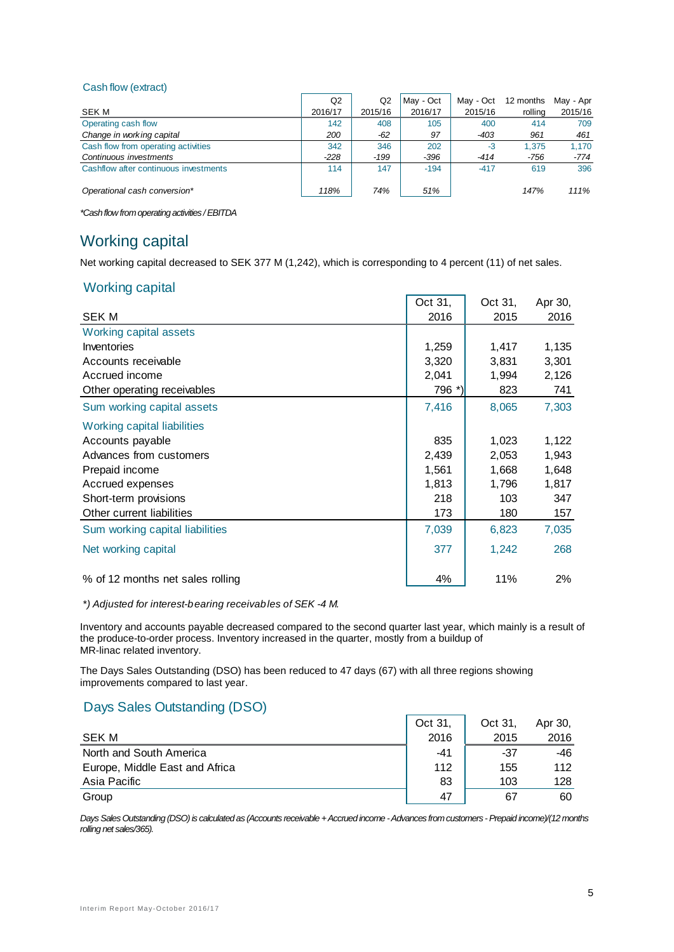#### Cash flow (extract)

| Q <sub>2</sub> | Q <sub>2</sub> | May - Oct | May - Oct | 12 months | May - Apr |
|----------------|----------------|-----------|-----------|-----------|-----------|
| 2016/17        | 2015/16        | 2016/17   | 2015/16   | rolling   | 2015/16   |
| 142            | 408            | 105       | 400       | 414       | 709       |
| 200            | -62            | 97        | $-403$    | 961       | 461       |
| 342            | 346            | 202       | $-3$      | 1.375     | 1.170     |
| $-228$         | $-199$         | $-396$    | $-414$    | $-756$    | -774      |
| 114            | 147            | $-194$    | $-417$    | 619       | 396       |
|                |                |           |           |           | 111%      |
|                | 118%           | 74%       | 51%       |           | 147%      |

*\*Cash flow from operating activities / EBITDA*

## Working capital

Net working capital decreased to SEK 377 M (1,242), which is corresponding to 4 percent (11) of net sales.

#### Working capital

|                                  | Oct 31, | Oct 31, | Apr 30, |
|----------------------------------|---------|---------|---------|
| <b>SEK M</b>                     | 2016    | 2015    | 2016    |
| Working capital assets           |         |         |         |
| Inventories                      | 1,259   | 1,417   | 1,135   |
| Accounts receivable              | 3,320   | 3,831   | 3,301   |
| Accrued income                   | 2,041   | 1,994   | 2,126   |
| Other operating receivables      | 796 *)  | 823     | 741     |
| Sum working capital assets       | 7,416   | 8,065   | 7,303   |
| Working capital liabilities      |         |         |         |
| Accounts payable                 | 835     | 1,023   | 1,122   |
| Advances from customers          | 2,439   | 2,053   | 1,943   |
| Prepaid income                   | 1,561   | 1,668   | 1,648   |
| Accrued expenses                 | 1,813   | 1,796   | 1,817   |
| Short-term provisions            | 218     | 103     | 347     |
| Other current liabilities        | 173     | 180     | 157     |
| Sum working capital liabilities  | 7,039   | 6,823   | 7,035   |
| Net working capital              | 377     | 1,242   | 268     |
| % of 12 months net sales rolling | 4%      | 11%     | 2%      |

#### *\*) Adjusted for interest-bearing receivables of SEK -4 M.*

Inventory and accounts payable decreased compared to the second quarter last year, which mainly is a result of the produce-to-order process. Inventory increased in the quarter, mostly from a buildup of MR-linac related inventory.

÷.

The Days Sales Outstanding (DSO) has been reduced to 47 days (67) with all three regions showing improvements compared to last year.

## Days Sales Outstanding (DSO)

|                                | Oct 31. | Oct 31. | Apr 30, |
|--------------------------------|---------|---------|---------|
| <b>SEK M</b>                   | 2016    | 2015    | 2016    |
| North and South America        | -41     | -37     | -46     |
| Europe, Middle East and Africa | 112     | 155     | 112     |
| Asia Pacific                   | 83      | 103     | 128     |
| Group                          | 47      | 67      | 60      |

*Days Sales Outstanding (DSO) is calculated as (Accounts receivable + Accrued income -Advances from customers -Prepaid income)/(12 months rolling net sales/365).*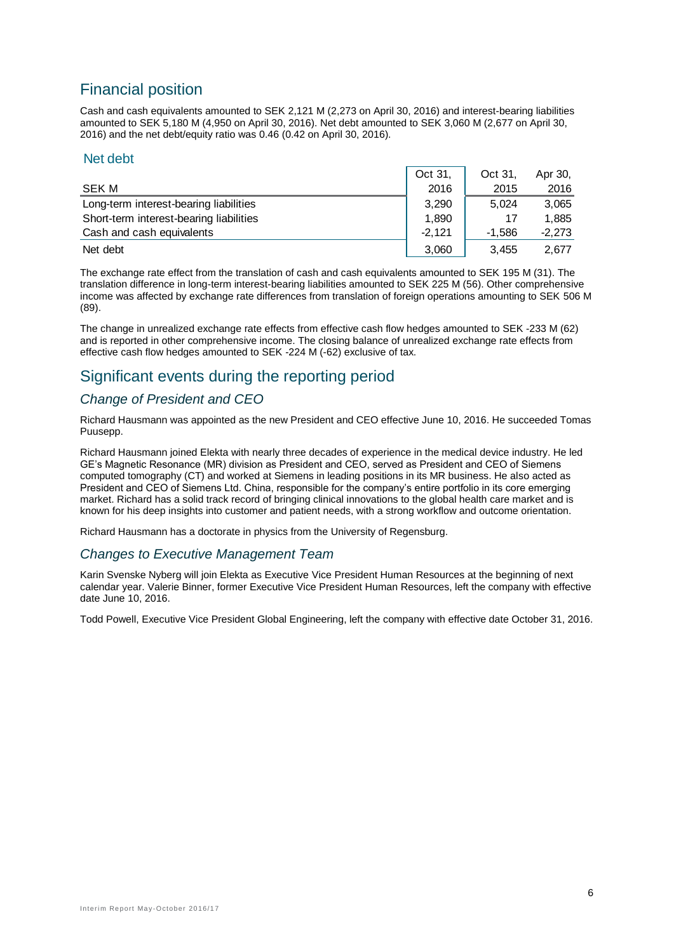## Financial position

Cash and cash equivalents amounted to SEK 2,121 M (2,273 on April 30, 2016) and interest-bearing liabilities amounted to SEK 5,180 M (4,950 on April 30, 2016). Net debt amounted to SEK 3,060 M (2,677 on April 30, 2016) and the net debt/equity ratio was 0.46 (0.42 on April 30, 2016).

#### Net debt

|                                         | Oct 31,  | Oct 31.  | Apr 30,  |
|-----------------------------------------|----------|----------|----------|
| SEK M                                   | 2016     | 2015     | 2016     |
| Long-term interest-bearing liabilities  | 3.290    | 5.024    | 3.065    |
| Short-term interest-bearing liabilities | 1,890    |          | 1.885    |
| Cash and cash equivalents               | $-2.121$ | $-1.586$ | $-2.273$ |
| Net debt                                | 3,060    | 3,455    | 2.677    |

The exchange rate effect from the translation of cash and cash equivalents amounted to SEK 195 M (31). The translation difference in long-term interest-bearing liabilities amounted to SEK 225 M (56). Other comprehensive income was affected by exchange rate differences from translation of foreign operations amounting to SEK 506 M (89).

The change in unrealized exchange rate effects from effective cash flow hedges amounted to SEK -233 M (62) and is reported in other comprehensive income. The closing balance of unrealized exchange rate effects from effective cash flow hedges amounted to SEK -224 M (-62) exclusive of tax.

## Significant events during the reporting period

## *Change of President and CEO*

Richard Hausmann was appointed as the new President and CEO effective June 10, 2016. He succeeded Tomas Puusepp.

Richard Hausmann joined Elekta with nearly three decades of experience in the medical device industry. He led GE's Magnetic Resonance (MR) division as President and CEO, served as President and CEO of Siemens computed tomography (CT) and worked at Siemens in leading positions in its MR business. He also acted as President and CEO of Siemens Ltd. China, responsible for the company's entire portfolio in its core emerging market. Richard has a solid track record of bringing clinical innovations to the global health care market and is known for his deep insights into customer and patient needs, with a strong workflow and outcome orientation.

Richard Hausmann has a doctorate in physics from the University of Regensburg.

#### *Changes to Executive Management Team*

Karin Svenske Nyberg will join Elekta as Executive Vice President Human Resources at the beginning of next calendar year. Valerie Binner, former Executive Vice President Human Resources, left the company with effective date June 10, 2016.

Todd Powell, Executive Vice President Global Engineering, left the company with effective date October 31, 2016.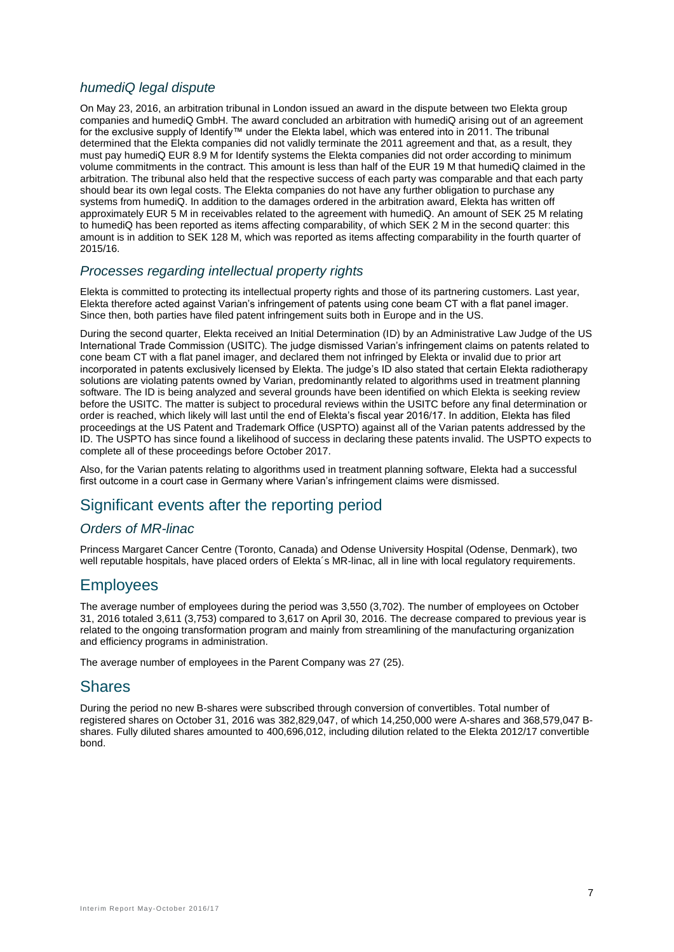#### *humediQ legal dispute*

On May 23, 2016, an arbitration tribunal in London issued an award in the dispute between two Elekta group companies and humediQ GmbH. The award concluded an arbitration with humediQ arising out of an agreement for the exclusive supply of Identify™ under the Elekta label, which was entered into in 2011. The tribunal determined that the Elekta companies did not validly terminate the 2011 agreement and that, as a result, they must pay humediQ EUR 8.9 M for Identify systems the Elekta companies did not order according to minimum volume commitments in the contract. This amount is less than half of the EUR 19 M that humediQ claimed in the arbitration. The tribunal also held that the respective success of each party was comparable and that each party should bear its own legal costs. The Elekta companies do not have any further obligation to purchase any systems from humediQ. In addition to the damages ordered in the arbitration award, Elekta has written off approximately EUR 5 M in receivables related to the agreement with humediQ. An amount of SEK 25 M relating to humediQ has been reported as items affecting comparability, of which SEK 2 M in the second quarter: this amount is in addition to SEK 128 M, which was reported as items affecting comparability in the fourth quarter of 2015/16.

#### *Processes regarding intellectual property rights*

Elekta is committed to protecting its intellectual property rights and those of its partnering customers. Last year, Elekta therefore acted against Varian's infringement of patents using cone beam CT with a flat panel imager. Since then, both parties have filed patent infringement suits both in Europe and in the US.

During the second quarter, Elekta received an Initial Determination (ID) by an Administrative Law Judge of the US International Trade Commission (USITC). The judge dismissed Varian's infringement claims on patents related to cone beam CT with a flat panel imager, and declared them not infringed by Elekta or invalid due to prior art incorporated in patents exclusively licensed by Elekta. The judge's ID also stated that certain Elekta radiotherapy solutions are violating patents owned by Varian, predominantly related to algorithms used in treatment planning software. The ID is being analyzed and several grounds have been identified on which Elekta is seeking review before the USITC. The matter is subject to procedural reviews within the USITC before any final determination or order is reached, which likely will last until the end of Elekta's fiscal year 2016/17. In addition, Elekta has filed proceedings at the US Patent and Trademark Office (USPTO) against all of the Varian patents addressed by the ID. The USPTO has since found a likelihood of success in declaring these patents invalid. The USPTO expects to complete all of these proceedings before October 2017.

Also, for the Varian patents relating to algorithms used in treatment planning software, Elekta had a successful first outcome in a court case in Germany where Varian's infringement claims were dismissed.

## Significant events after the reporting period

#### *Orders of MR-linac*

Princess Margaret Cancer Centre (Toronto, Canada) and Odense University Hospital (Odense, Denmark), two well reputable hospitals, have placed orders of Elekta´s MR-linac, all in line with local regulatory requirements.

## **Employees**

The average number of employees during the period was 3,550 (3,702). The number of employees on October 31, 2016 totaled 3,611 (3,753) compared to 3,617 on April 30, 2016. The decrease compared to previous year is related to the ongoing transformation program and mainly from streamlining of the manufacturing organization and efficiency programs in administration.

The average number of employees in the Parent Company was 27 (25).

## **Shares**

During the period no new B-shares were subscribed through conversion of convertibles. Total number of registered shares on October 31, 2016 was 382,829,047, of which 14,250,000 were A-shares and 368,579,047 Bshares. Fully diluted shares amounted to 400,696,012, including dilution related to the Elekta 2012/17 convertible bond.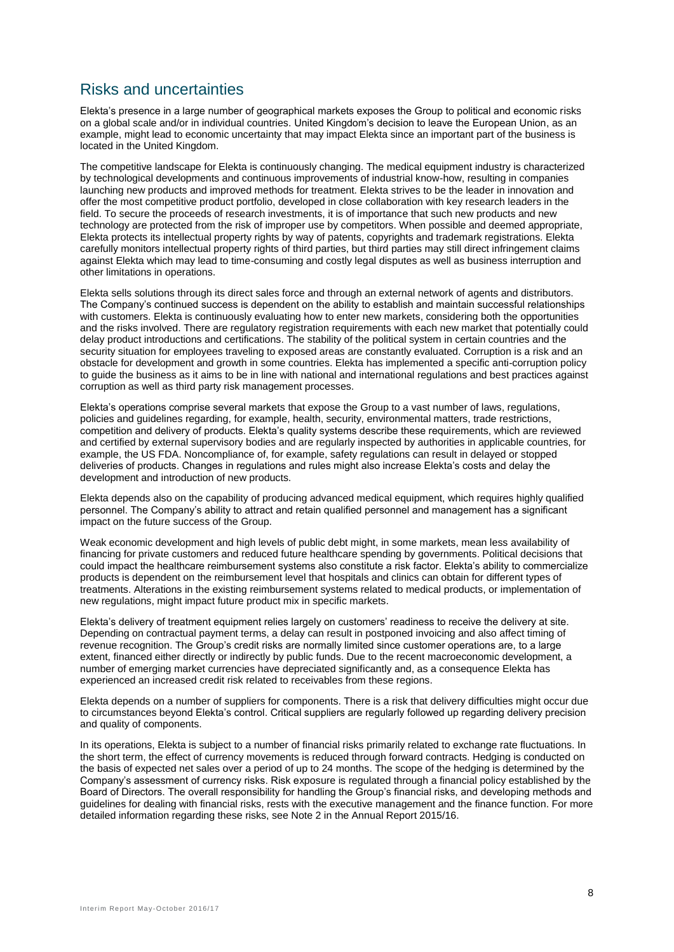## Risks and uncertainties

Elekta's presence in a large number of geographical markets exposes the Group to political and economic risks on a global scale and/or in individual countries. United Kingdom's decision to leave the European Union, as an example, might lead to economic uncertainty that may impact Elekta since an important part of the business is located in the United Kingdom.

The competitive landscape for Elekta is continuously changing. The medical equipment industry is characterized by technological developments and continuous improvements of industrial know-how, resulting in companies launching new products and improved methods for treatment. Elekta strives to be the leader in innovation and offer the most competitive product portfolio, developed in close collaboration with key research leaders in the field. To secure the proceeds of research investments, it is of importance that such new products and new technology are protected from the risk of improper use by competitors. When possible and deemed appropriate, Elekta protects its intellectual property rights by way of patents, copyrights and trademark registrations. Elekta carefully monitors intellectual property rights of third parties, but third parties may still direct infringement claims against Elekta which may lead to time-consuming and costly legal disputes as well as business interruption and other limitations in operations.

Elekta sells solutions through its direct sales force and through an external network of agents and distributors. The Company's continued success is dependent on the ability to establish and maintain successful relationships with customers. Elekta is continuously evaluating how to enter new markets, considering both the opportunities and the risks involved. There are regulatory registration requirements with each new market that potentially could delay product introductions and certifications. The stability of the political system in certain countries and the security situation for employees traveling to exposed areas are constantly evaluated. Corruption is a risk and an obstacle for development and growth in some countries. Elekta has implemented a specific anti-corruption policy to guide the business as it aims to be in line with national and international regulations and best practices against corruption as well as third party risk management processes.

Elekta's operations comprise several markets that expose the Group to a vast number of laws, regulations, policies and guidelines regarding, for example, health, security, environmental matters, trade restrictions, competition and delivery of products. Elekta's quality systems describe these requirements, which are reviewed and certified by external supervisory bodies and are regularly inspected by authorities in applicable countries, for example, the US FDA. Noncompliance of, for example, safety regulations can result in delayed or stopped deliveries of products. Changes in regulations and rules might also increase Elekta's costs and delay the development and introduction of new products.

Elekta depends also on the capability of producing advanced medical equipment, which requires highly qualified personnel. The Company's ability to attract and retain qualified personnel and management has a significant impact on the future success of the Group.

Weak economic development and high levels of public debt might, in some markets, mean less availability of financing for private customers and reduced future healthcare spending by governments. Political decisions that could impact the healthcare reimbursement systems also constitute a risk factor. Elekta's ability to commercialize products is dependent on the reimbursement level that hospitals and clinics can obtain for different types of treatments. Alterations in the existing reimbursement systems related to medical products, or implementation of new regulations, might impact future product mix in specific markets.

Elekta's delivery of treatment equipment relies largely on customers' readiness to receive the delivery at site. Depending on contractual payment terms, a delay can result in postponed invoicing and also affect timing of revenue recognition. The Group's credit risks are normally limited since customer operations are, to a large extent, financed either directly or indirectly by public funds. Due to the recent macroeconomic development, a number of emerging market currencies have depreciated significantly and, as a consequence Elekta has experienced an increased credit risk related to receivables from these regions.

Elekta depends on a number of suppliers for components. There is a risk that delivery difficulties might occur due to circumstances beyond Elekta's control. Critical suppliers are regularly followed up regarding delivery precision and quality of components.

In its operations, Elekta is subject to a number of financial risks primarily related to exchange rate fluctuations. In the short term, the effect of currency movements is reduced through forward contracts. Hedging is conducted on the basis of expected net sales over a period of up to 24 months. The scope of the hedging is determined by the Company's assessment of currency risks. Risk exposure is regulated through a financial policy established by the Board of Directors. The overall responsibility for handling the Group's financial risks, and developing methods and guidelines for dealing with financial risks, rests with the executive management and the finance function. For more detailed information regarding these risks, see Note 2 in the Annual Report 2015/16.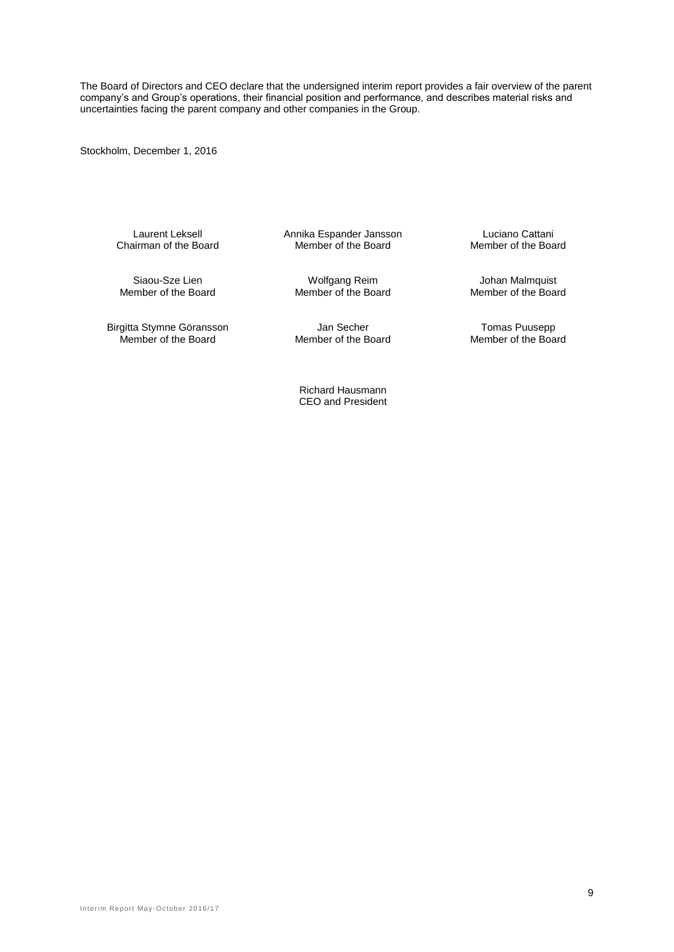The Board of Directors and CEO declare that the undersigned interim report provides a fair overview of the parent company's and Group's operations, their financial position and performance, and describes material risks and uncertainties facing the parent company and other companies in the Group.

Stockholm, December 1, 2016

Chairman of the Board

Siaou-Sze Lien Molfgang Reim Wolfgang Reim Johan Malmquist<br>Member of the Board Member of the Board Member of the Board

Birgitta Stymne Göransson Jan Secher Consumer Stymne Göransson Jan Secher Tomas Puusepp<br>Member of the Board Member of the Board Member of the Board

Laurent Leksell Annika Espander Jansson Luciano Cattani

Member of the Board

Member of the Board

Richard Hausmann CEO and President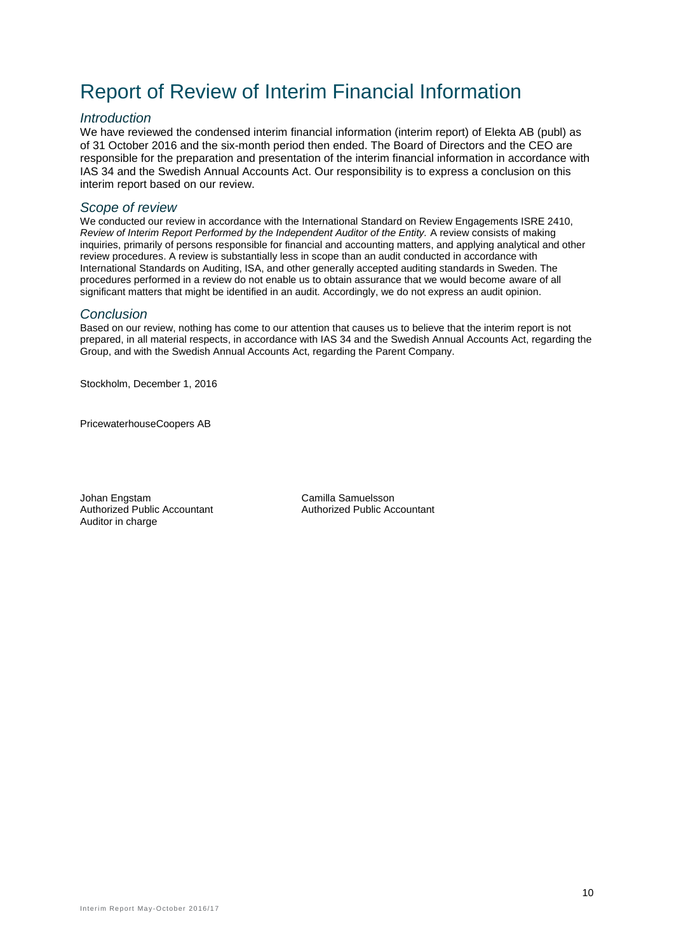## Report of Review of Interim Financial Information

#### *Introduction*

We have reviewed the condensed interim financial information (interim report) of Elekta AB (publ) as of 31 October 2016 and the six-month period then ended. The Board of Directors and the CEO are responsible for the preparation and presentation of the interim financial information in accordance with IAS 34 and the Swedish Annual Accounts Act. Our responsibility is to express a conclusion on this interim report based on our review.

#### *Scope of review*

We conducted our review in accordance with the International Standard on Review Engagements ISRE 2410, *Review of Interim Report Performed by the Independent Auditor of the Entity.* A review consists of making inquiries, primarily of persons responsible for financial and accounting matters, and applying analytical and other review procedures. A review is substantially less in scope than an audit conducted in accordance with International Standards on Auditing, ISA, and other generally accepted auditing standards in Sweden. The procedures performed in a review do not enable us to obtain assurance that we would become aware of all significant matters that might be identified in an audit. Accordingly, we do not express an audit opinion.

#### *Conclusion*

Based on our review, nothing has come to our attention that causes us to believe that the interim report is not prepared, in all material respects, in accordance with IAS 34 and the Swedish Annual Accounts Act, regarding the Group, and with the Swedish Annual Accounts Act, regarding the Parent Company.

Stockholm, December 1, 2016

PricewaterhouseCoopers AB

Johan Engstam Camilla Samuelsson Auditor in charge

Authorized Public Accountant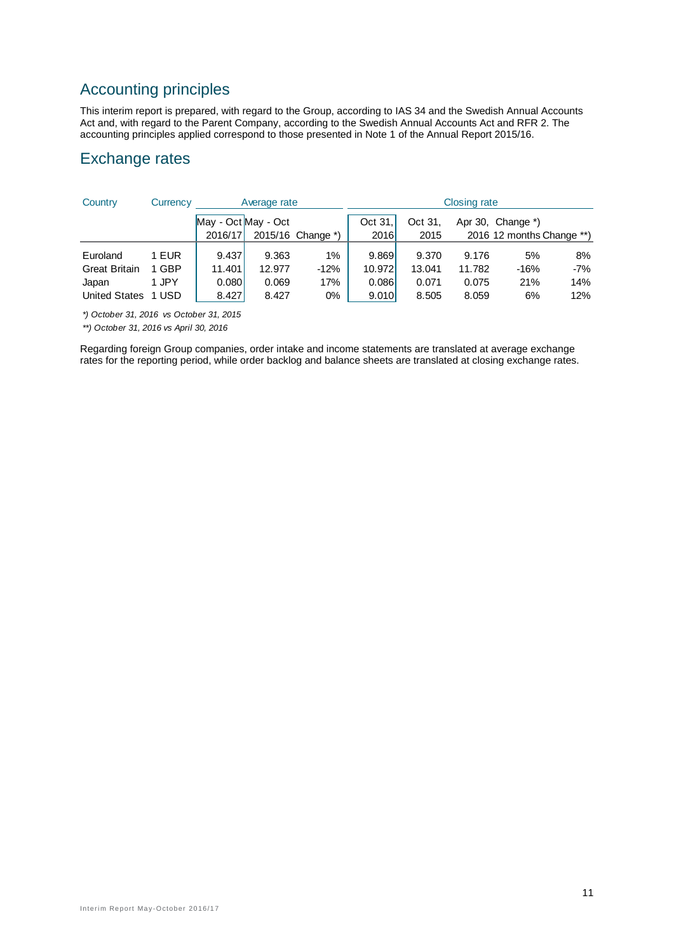## Accounting principles

This interim report is prepared, with regard to the Group, according to IAS 34 and the Swedish Annual Accounts Act and, with regard to the Parent Company, according to the Swedish Annual Accounts Act and RFR 2. The accounting principles applied correspond to those presented in Note 1 of the Annual Report 2015/16.

## Exchange rates

| Country              | Currency | Average rate |                     |                   |         |         | <b>Closing rate</b> |                           |       |
|----------------------|----------|--------------|---------------------|-------------------|---------|---------|---------------------|---------------------------|-------|
|                      |          |              | May - Oct May - Oct |                   | Oct 31. | Oct 31. |                     | Apr 30, Change *)         |       |
|                      |          | 2016/17      |                     | 2015/16 Change *) | 2016    | 2015    |                     | 2016 12 months Change **) |       |
| Euroland             | 1 EUR    | 9.437        | 9.363               | 1%                | 9.869   | 9.370   | 9.176               | 5%                        | 8%    |
| <b>Great Britain</b> | 1 GBP    | 11.401       | 12.977              | $-12%$            | 10.972  | 13.041  | 11.782              | $-16%$                    | $-7%$ |
| Japan                | 1 JPY    | 0.080        | 0.069               | 17%               | 0.086   | 0.071   | 0.075               | 21%                       | 14%   |
| <b>United States</b> | 1 USD    | 8.427        | 8.427               | 0%                | 9.010   | 8.505   | 8.059               | 6%                        | 12%   |

*\*) October 31, 2016 vs October 31, 2015*

*\*\*) October 31, 2016 vs April 30, 2016*

Regarding foreign Group companies, order intake and income statements are translated at average exchange rates for the reporting period, while order backlog and balance sheets are translated at closing exchange rates.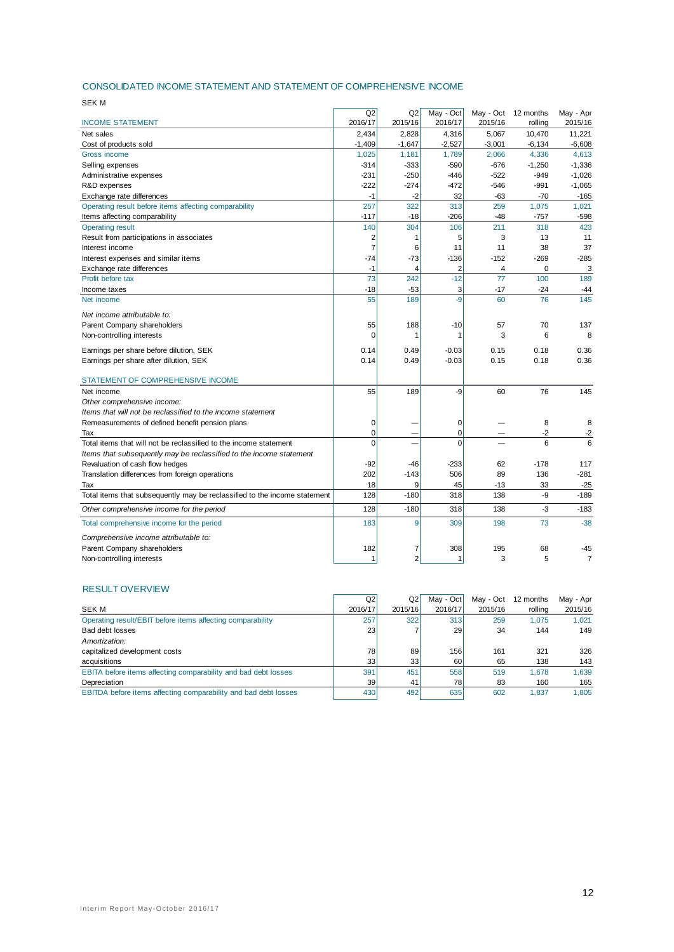#### CONSOLIDATED INCOME STATEMENT AND STATEMENT OF COMPREHENSIVE INCOME

| <b>SEK M</b>                                                              |                |                |           |                |                     |                |
|---------------------------------------------------------------------------|----------------|----------------|-----------|----------------|---------------------|----------------|
|                                                                           | Q2             | Q2             | May - Oct |                | May - Oct 12 months | May - Apr      |
| <b>INCOME STATEMENT</b>                                                   | 2016/17        | 2015/16        | 2016/17   | 2015/16        | rolling             | 2015/16        |
| Net sales                                                                 | 2,434          | 2,828          | 4,316     | 5,067          | 10,470              | 11,221         |
| Cost of products sold                                                     | $-1,409$       | $-1,647$       | $-2,527$  | $-3,001$       | $-6, 134$           | $-6,608$       |
| Gross income                                                              | 1,025          | 1,181          | 1,789     | 2,066          | 4,336               | 4,613          |
| Selling expenses                                                          | $-314$         | $-333$         | $-590$    | $-676$         | $-1,250$            | $-1,336$       |
| Administrative expenses                                                   | $-231$         | $-250$         | $-446$    | $-522$         | $-949$              | $-1,026$       |
| R&D expenses                                                              | $-222$         | $-274$         | $-472$    | $-546$         | $-991$              | $-1,065$       |
| Exchange rate differences                                                 | $-1$           | $-2$           | 32        | $-63$          | $-70$               | $-165$         |
| Operating result before items affecting comparability                     | 257            | 322            | 313       | 259            | 1,075               | 1,021          |
| Items affecting comparability                                             | $-117$         | $-18$          | $-206$    | $-48$          | $-757$              | $-598$         |
| <b>Operating result</b>                                                   | 140            | 304            | 106       | 211            | 318                 | 423            |
| Result from participations in associates                                  | $\overline{2}$ | 1              | 5         | 3              | 13                  | 11             |
| Interest income                                                           | $\overline{7}$ | 6              | 11        | 11             | 38                  | 37             |
| Interest expenses and similar items                                       | $-74$          | $-73$          | $-136$    | $-152$         | $-269$              | $-285$         |
| Exchange rate differences                                                 | $-1$           | $\overline{4}$ | 2         | $\overline{4}$ | $\mathbf 0$         | 3              |
| Profit before tax                                                         | 73             | 242            | $-12$     | 77             | 100                 | 189            |
| Income taxes                                                              | $-18$          | $-53$          | 3         | $-17$          | $-24$               | $-44$          |
| Net income                                                                | 55             | 189            | $-9$      | 60             | 76                  | 145            |
| Net income attributable to:                                               |                |                |           |                |                     |                |
| Parent Company shareholders                                               | 55             | 188            | $-10$     | 57             | 70                  | 137            |
| Non-controlling interests                                                 | $\Omega$       | 1              | 1         | 3              | 6                   | 8              |
| Earnings per share before dilution, SEK                                   | 0.14           | 0.49           | $-0.03$   | 0.15           | 0.18                | 0.36           |
| Earnings per share after dilution, SEK                                    | 0.14           | 0.49           | $-0.03$   | 0.15           | 0.18                | 0.36           |
| STATEMENT OF COMPREHENSIVE INCOME                                         |                |                |           |                |                     |                |
| Net income                                                                | 55             | 189            | -9        | 60             | 76                  | 145            |
| Other comprehensive income:                                               |                |                |           |                |                     |                |
| Items that will not be reclassified to the income statement               |                |                |           |                |                     |                |
| Remeasurements of defined benefit pension plans                           | $\mathbf 0$    |                | 0         |                | 8                   | 8              |
| Tax                                                                       | $\Omega$       |                | $\Omega$  |                | $-2$                | $-2$           |
| Total items that will not be reclassified to the income statement         | $\Omega$       |                | $\Omega$  |                | 6                   | 6              |
| Items that subsequently may be reclassified to the income statement       |                |                |           |                |                     |                |
| Revaluation of cash flow hedges                                           | $-92$          | $-46$          | $-233$    | 62             | $-178$              | 117            |
| Translation differences from foreign operations                           | 202            | $-143$         | 506       | 89             | 136                 | $-281$         |
| Tax                                                                       | 18             | 9              | 45        | $-13$          | 33                  | $-25$          |
| Total items that subsequently may be reclassified to the income statement | 128            | $-180$         | 318       | 138            | -9                  | $-189$         |
| Other comprehensive income for the period                                 | 128            | $-180$         | 318       | 138            | -3                  | $-183$         |
|                                                                           |                |                |           |                |                     |                |
| Total comprehensive income for the period                                 | 183            | 9              | 309       | 198            | 73                  | $-38$          |
| Comprehensive income attributable to:                                     |                |                |           |                |                     |                |
| Parent Company shareholders                                               | 182            | 7              | 308       | 195            | 68                  | -45            |
| Non-controlling interests                                                 |                | $\overline{2}$ |           | 3              | 5                   | $\overline{7}$ |

#### RESULT OVERVIEW

| Q2  | Q2      | May - Oct | May - Oct | 12 months | May - Apr |
|-----|---------|-----------|-----------|-----------|-----------|
|     | 2015/16 | 2016/17   | 2015/16   | rolling   | 2015/16   |
| 257 | 322     | 313       | 259       | 1.075     | 1.021     |
| 23  |         | 29        | 34        | 144       | 149       |
|     |         |           |           |           |           |
| 78  | 89      | 156       | 161       | 321       | 326       |
| 33  | 33      | 60        | 65        | 138       | 143       |
| 391 | 451     | 558       | 519       | 1.678     | 1.639     |
| 39  | 41      | 78I       | 83        | 160       | 165       |
| 430 | 492     | 635       | 602       | 1.837     | 1.805     |
|     |         | 2016/17   |           |           |           |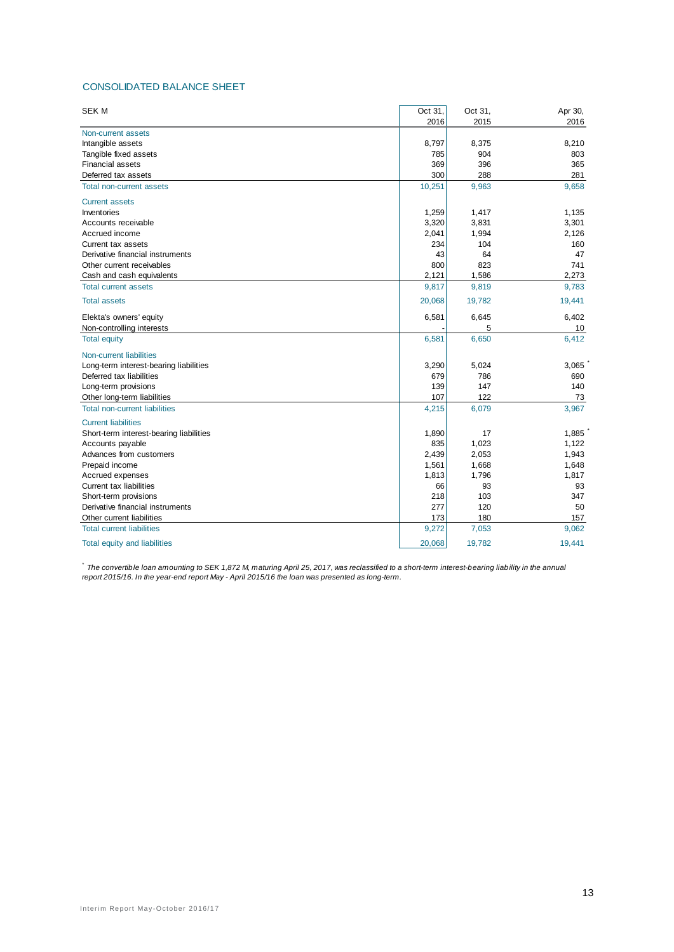#### CONSOLIDATED BALANCE SHEET

| <b>SEK M</b>                            | Oct 31, | Oct 31, | Apr 30, |
|-----------------------------------------|---------|---------|---------|
|                                         | 2016    | 2015    | 2016    |
| Non-current assets                      |         |         |         |
| Intangible assets                       | 8,797   | 8,375   | 8,210   |
| Tangible fixed assets                   | 785     | 904     | 803     |
| <b>Financial assets</b>                 | 369     | 396     | 365     |
| Deferred tax assets                     | 300     | 288     | 281     |
| <b>Total non-current assets</b>         | 10,251  | 9,963   | 9,658   |
| <b>Current assets</b>                   |         |         |         |
| Inventories                             | 1,259   | 1,417   | 1,135   |
| Accounts receivable                     | 3,320   | 3,831   | 3,301   |
| Accrued income                          | 2,041   | 1,994   | 2,126   |
| Current tax assets                      | 234     | 104     | 160     |
| Derivative financial instruments        | 43      | 64      | 47      |
| Other current receivables               | 800     | 823     | 741     |
| Cash and cash equivalents               | 2,121   | 1,586   | 2,273   |
| <b>Total current assets</b>             | 9,817   | 9,819   | 9,783   |
| <b>Total assets</b>                     | 20,068  | 19,782  | 19,441  |
| Elekta's owners' equity                 | 6,581   | 6,645   | 6,402   |
| Non-controlling interests               |         | 5       | 10      |
| <b>Total equity</b>                     | 6,581   | 6,650   | 6,412   |
| <b>Non-current liabilities</b>          |         |         |         |
| Long-term interest-bearing liabilities  | 3,290   | 5,024   | 3,065   |
| Deferred tax liabilities                | 679     | 786     | 690     |
| Long-term provisions                    | 139     | 147     | 140     |
| Other long-term liabilities             | 107     | 122     | 73      |
| <b>Total non-current liabilities</b>    | 4,215   | 6,079   | 3,967   |
| <b>Current liabilities</b>              |         |         |         |
| Short-term interest-bearing liabilities | 1,890   | 17      | 1,885   |
| Accounts payable                        | 835     | 1,023   | 1,122   |
| Advances from customers                 | 2,439   | 2,053   | 1,943   |
| Prepaid income                          | 1,561   | 1,668   | 1,648   |
| Accrued expenses                        | 1,813   | 1,796   | 1,817   |
| Current tax liabilities                 | 66      | 93      | 93      |
| Short-term provisions                   | 218     | 103     | 347     |
| Derivative financial instruments        | 277     | 120     | 50      |
| Other current liabilities               | 173     | 180     | 157     |
| <b>Total current liabilities</b>        | 9,272   | 7,053   | 9,062   |
| Total equity and liabilities            | 20,068  | 19,782  | 19.441  |

<sup>\*</sup> The convertible loan amounting to SEK 1,872 M, maturing April 25, 2017, was reclassified to a short-term interest-bearing liability in the annual *report 2015/16. In the year-end report May - April 2015/16 the loan was presented as long-term.*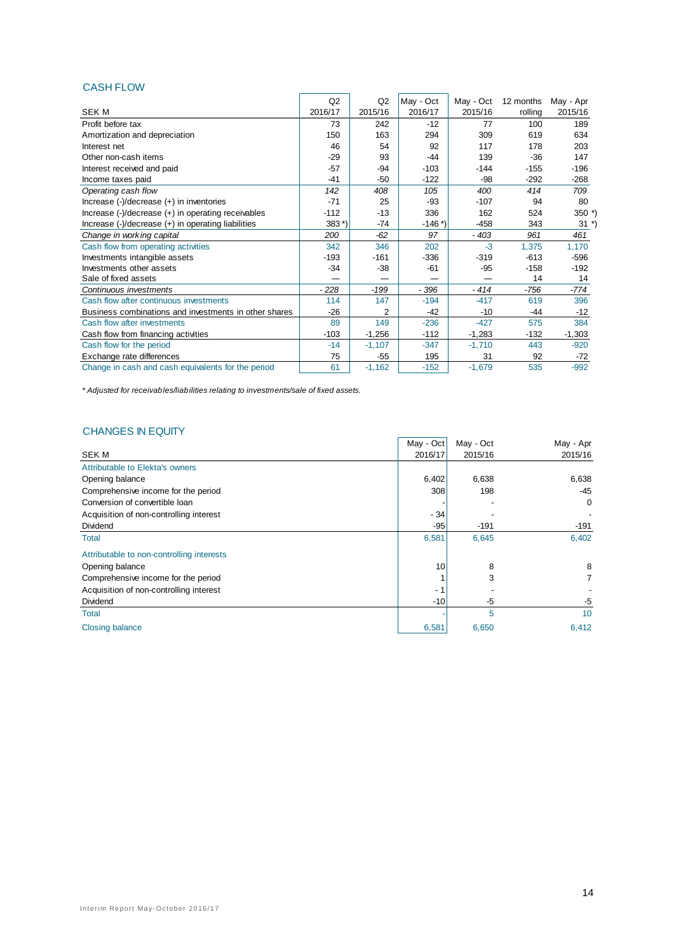#### CASH FLOW

|                                                                                                  | Q2      | Q2             | May - Oct | May - Oct | 12 months | May - Apr |
|--------------------------------------------------------------------------------------------------|---------|----------------|-----------|-----------|-----------|-----------|
| SEK M                                                                                            | 2016/17 | 2015/16        | 2016/17   | 2015/16   | rolling   | 2015/16   |
| Profit before tax                                                                                | 73      | 242            | $-12$     | 77        | 100       | 189       |
| Amortization and depreciation                                                                    | 150     | 163            | 294       | 309       | 619       | 634       |
| Interest net                                                                                     | 46      | 54             | 92        | 117       | 178       | 203       |
| Other non-cash items                                                                             | $-29$   | 93             | $-44$     | 139       | $-36$     | 147       |
| Interest received and paid                                                                       | $-57$   | $-94$          | $-103$    | $-144$    | $-155$    | $-196$    |
| Income taxes paid                                                                                | $-41$   | $-50$          | $-122$    | -98       | $-292$    | $-268$    |
| Operating cash flow                                                                              | 142     | 408            | 105       | 400       | 414       | 709       |
| Increase $(-)/$ decrease $(+)$ in inventories                                                    | $-71$   | 25             | $-93$     | $-107$    | 94        | 80        |
| Increase (-)/decrease (+) in operating receivables                                               | $-112$  | $-13$          | 336       | 162       | 524       | $350*$    |
| Increase $\left(\frac{1}{2}\right)$ decrease $\left(\frac{1}{2}\right)$ in operating liabilities | $383*)$ | -74            | $-146$ *) | $-458$    | 343       | $31 *$    |
| Change in working capital                                                                        | 200     | $-62$          | 97        | $-403$    | 961       | 461       |
| Cash flow from operating activities                                                              | 342     | 346            | 202       | $-3$      | 1,375     | 1,170     |
| Investments intangible assets                                                                    | $-193$  | $-161$         | -336      | $-319$    | $-613$    | $-596$    |
| Investments other assets                                                                         | $-34$   | $-38$          | $-61$     | $-95$     | $-158$    | $-192$    |
| Sale of fixed assets                                                                             |         |                |           |           | 14        | 14        |
| Continuous investments                                                                           | $-228$  | $-199$         | $-396$    | $-414$    | $-756$    | -774      |
| Cash flow after continuous investments                                                           | 114     | 147            | $-194$    | $-417$    | 619       | 396       |
| Business combinations and investments in other shares                                            | $-26$   | $\overline{2}$ | $-42$     | $-10$     | $-44$     | -12       |
| Cash flow after investments                                                                      | 89      | 149            | $-236$    | $-427$    | 575       | 384       |
| Cash flow from financing activities                                                              | $-103$  | $-1,256$       | $-112$    | $-1,283$  | $-132$    | $-1,303$  |
| Cash flow for the period                                                                         | $-14$   | $-1,107$       | $-347$    | $-1,710$  | 443       | $-920$    |
| Exchange rate differences                                                                        | 75      | -55            | 195       | 31        | 92        | -72       |
| Change in cash and cash equivalents for the period                                               | 61      | $-1,162$       | $-152$    | $-1,679$  | 535       | $-992$    |

*\* Adjusted for receivables/liabilities relating to investments/sale of fixed assets.*

#### CHANGES IN EQUITY

|                                           | May - Oct | May - Oct | May - Apr      |
|-------------------------------------------|-----------|-----------|----------------|
| <b>SEK M</b>                              | 2016/17   | 2015/16   | 2015/16        |
| Attributable to Elekta's owners           |           |           |                |
| Opening balance                           | 6,402     | 6,638     | 6,638          |
| Comprehensive income for the period       | 308       | 198       | $-45$          |
| Conversion of convertible loan            |           |           | 0              |
| Acquisition of non-controlling interest   | $-34$     |           |                |
| Dividend                                  | $-95$     | $-191$    | $-191$         |
| <b>Total</b>                              | 6,581     | 6,645     | 6,402          |
| Attributable to non-controlling interests |           |           |                |
| Opening balance                           | 10        | 8         | 8              |
| Comprehensive income for the period       |           | 3         | $\overline{7}$ |
| Acquisition of non-controlling interest   | $-1$      |           |                |
| Dividend                                  | $-10$     | -5        | -5             |
| <b>Total</b>                              |           | 5         | 10             |
| <b>Closing balance</b>                    | 6,581     | 6,650     | 6,412          |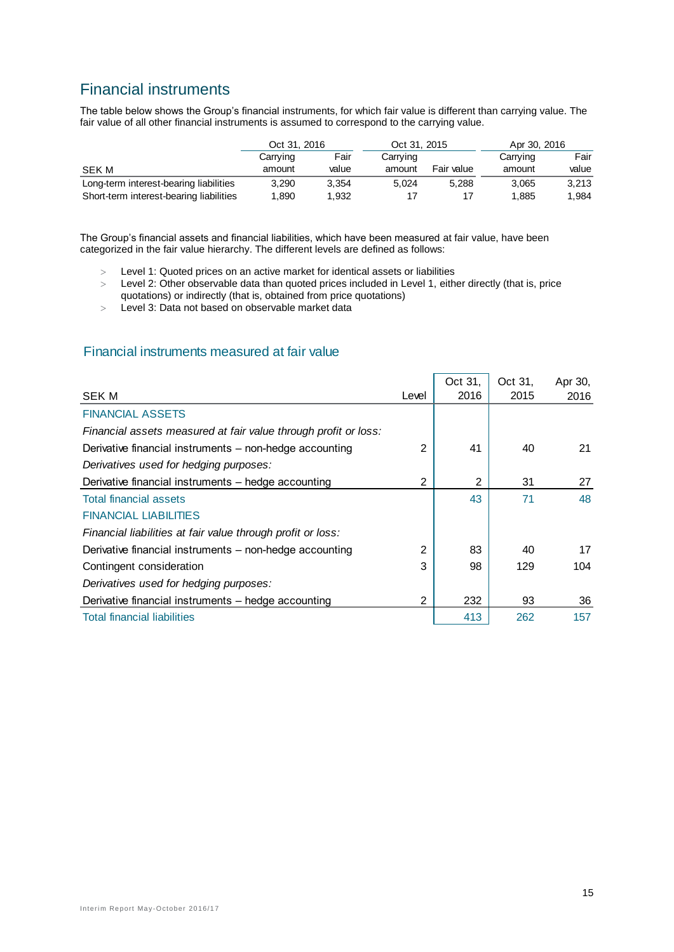## Financial instruments

The table below shows the Group's financial instruments, for which fair value is different than carrying value. The fair value of all other financial instruments is assumed to correspond to the carrying value.

|                                         | Oct 31, 2016 |       | Oct 31, 2015 |            | Apr 30, 2016 |       |  |
|-----------------------------------------|--------------|-------|--------------|------------|--------------|-------|--|
|                                         | Carrying     | Fair  | Carrying     |            | Carrying     | Fair  |  |
| SEK M                                   | amount       | value | amount       | Fair value | amount       | value |  |
| Long-term interest-bearing liabilities  | 3.290        | 3.354 | 5.024        | 5.288      | 3.065        | 3.213 |  |
| Short-term interest-bearing liabilities | 1.890        | 1.932 | 17           |            | 1.885        | 1.984 |  |

The Group's financial assets and financial liabilities, which have been measured at fair value, have been categorized in the fair value hierarchy. The different levels are defined as follows:

- Level 1: Quoted prices on an active market for identical assets or liabilities
- Level 2: Other observable data than quoted prices included in Level 1, either directly (that is, price quotations) or indirectly (that is, obtained from price quotations)
- Level 3: Data not based on observable market data

#### Financial instruments measured at fair value

|                                                                 |       | Oct 31, | Oct 31, | Apr 30, |
|-----------------------------------------------------------------|-------|---------|---------|---------|
| <b>SEK M</b>                                                    | Level | 2016    | 2015    | 2016    |
| <b>FINANCIAL ASSETS</b>                                         |       |         |         |         |
| Financial assets measured at fair value through profit or loss: |       |         |         |         |
| Derivative financial instruments - non-hedge accounting         | 2     | 41      | 40      | 21      |
| Derivatives used for hedging purposes:                          |       |         |         |         |
| Derivative financial instruments - hedge accounting             | 2     | 2       | 31      | 27      |
| <b>Total financial assets</b>                                   |       | 43      | 71      | 48      |
| <b>FINANCIAL LIABILITIES</b>                                    |       |         |         |         |
| Financial liabilities at fair value through profit or loss:     |       |         |         |         |
| Derivative financial instruments - non-hedge accounting         | 2     | 83      | 40      | 17      |
| Contingent consideration                                        | 3     | 98      | 129     | 104     |
| Derivatives used for hedging purposes:                          |       |         |         |         |
| Derivative financial instruments - hedge accounting             | 2     | 232     | 93      | 36      |
| <b>Total financial liabilities</b>                              |       | 413     | 262     | 157     |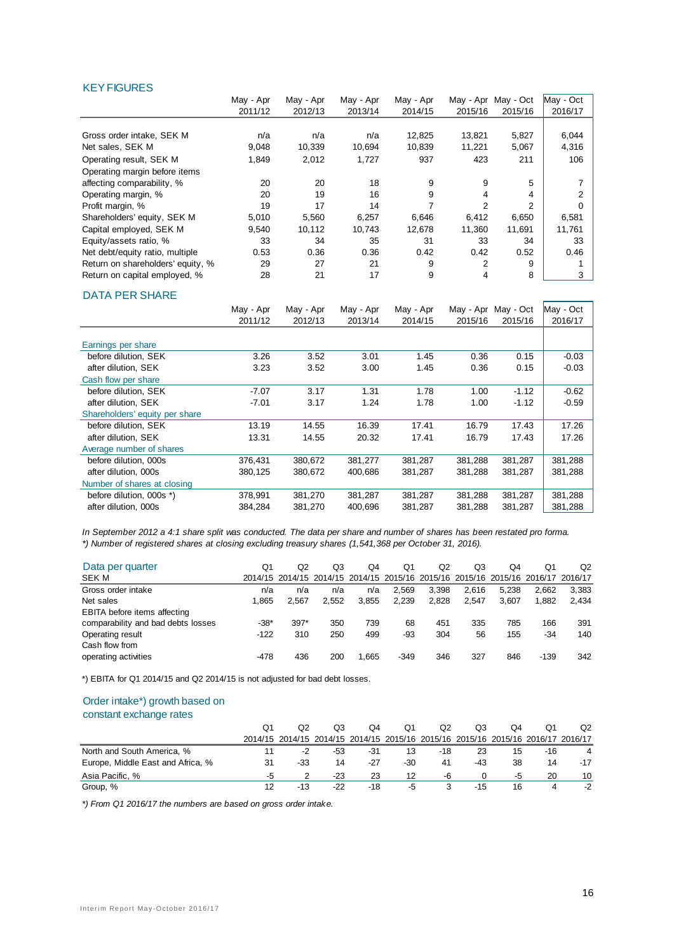#### **KEY FIGURES**

|                                   | May - Apr | May - Apr | May - Apr | May - Apr | May - Apr | May - Oct     | May - Oct |
|-----------------------------------|-----------|-----------|-----------|-----------|-----------|---------------|-----------|
|                                   | 2011/12   | 2012/13   | 2013/14   | 2014/15   | 2015/16   | 2015/16       | 2016/17   |
|                                   |           |           |           |           |           |               |           |
| Gross order intake. SEK M         | n/a       | n/a       | n/a       | 12,825    | 13,821    | 5,827         | 6,044     |
| Net sales, SEK M                  | 9,048     | 10,339    | 10,694    | 10,839    | 11,221    | 5,067         | 4,316     |
| Operating result, SEK M           | 1,849     | 2,012     | 1,727     | 937       | 423       | 211           | 106       |
| Operating margin before items     |           |           |           |           |           |               |           |
| affecting comparability, %        | 20        | 20        | 18        | 9         | 9         | 5             |           |
| Operating margin, %               | 20        | 19        | 16        | 9         |           | 4             |           |
| Profit margin, %                  | 19        | 17        | 14        |           | 2         | $\mathcal{P}$ |           |
| Shareholders' equity, SEK M       | 5,010     | 5,560     | 6,257     | 6,646     | 6,412     | 6,650         | 6,581     |
| Capital employed, SEK M           | 9,540     | 10,112    | 10,743    | 12,678    | 11,360    | 11,691        | 11,761    |
| Equity/assets ratio, %            | 33        | 34        | 35        | 31        | 33        | 34            | 33        |
| Net debt/equity ratio, multiple   | 0.53      | 0.36      | 0.36      | 0.42      | 0.42      | 0.52          | 0.46      |
| Return on shareholders' equity, % | 29        | 27        | 21        | 9         | 2         | 9             |           |
| Return on capital emploved, %     | 28        | 21        | 17        | 9         | 4         | 8             | 3         |

#### DATA PER SHARE

|                                | May - Apr | May - Apr | May - Apr | May - Apr | May - Apr | May - Oct | May - Oct |
|--------------------------------|-----------|-----------|-----------|-----------|-----------|-----------|-----------|
|                                | 2011/12   | 2012/13   | 2013/14   | 2014/15   | 2015/16   | 2015/16   | 2016/17   |
|                                |           |           |           |           |           |           |           |
| Earnings per share             |           |           |           |           |           |           |           |
| before dilution, SEK           | 3.26      | 3.52      | 3.01      | 1.45      | 0.36      | 0.15      | $-0.03$   |
| after dilution, SEK            | 3.23      | 3.52      | 3.00      | 1.45      | 0.36      | 0.15      | $-0.03$   |
| Cash flow per share            |           |           |           |           |           |           |           |
| before dilution, SEK           | $-7.07$   | 3.17      | 1.31      | 1.78      | 1.00      | $-1.12$   | $-0.62$   |
| after dilution, SEK            | $-7.01$   | 3.17      | 1.24      | 1.78      | 1.00      | $-1.12$   | $-0.59$   |
| Shareholders' equity per share |           |           |           |           |           |           |           |
| before dilution, SEK           | 13.19     | 14.55     | 16.39     | 17.41     | 16.79     | 17.43     | 17.26     |
| after dilution, SEK            | 13.31     | 14.55     | 20.32     | 17.41     | 16.79     | 17.43     | 17.26     |
| Average number of shares       |           |           |           |           |           |           |           |
| before dilution, 000s          | 376,431   | 380,672   | 381,277   | 381,287   | 381,288   | 381,287   | 381,288   |
| after dilution, 000s           | 380,125   | 380,672   | 400,686   | 381.287   | 381,288   | 381,287   | 381,288   |
| Number of shares at closing    |           |           |           |           |           |           |           |
| before dilution, 000s *)       | 378,991   | 381,270   | 381,287   | 381,287   | 381,288   | 381,287   | 381,288   |
| after dilution, 000s           | 384,284   | 381,270   | 400,696   | 381,287   | 381,288   | 381,287   | 381,288   |

*In September 2012 a 4:1 share split was conducted. The data per share and number of shares has been restated pro forma. \*) Number of registered shares at closing excluding treasury shares (1,541,368 per October 31, 2016).*

| Data per quarter                    | Q1     | Q2     | Q3    | Q4    | Q1                                                                              | Q2    | Q3    | O4    | Q1     | Q <sub>2</sub> |
|-------------------------------------|--------|--------|-------|-------|---------------------------------------------------------------------------------|-------|-------|-------|--------|----------------|
| SEK M                               |        |        |       |       | 2014/15 2014/15 2014/15 2014/15 2015/16 2015/16 2015/16 2015/16 2016/17 2016/17 |       |       |       |        |                |
| Gross order intake                  | n/a    | n/a    | n/a   | n/a   | 2.569                                                                           | 3.398 | 2.616 | 5.238 | 2.662  | 3.383          |
| Net sales                           | 1.865  | 2.567  | 2.552 | 3.855 | 2,239                                                                           | 2,828 | 2.547 | 3.607 | 1.882  | 2.434          |
| <b>EBITA</b> before items affecting |        |        |       |       |                                                                                 |       |       |       |        |                |
| comparability and bad debts losses  | $-38*$ | $397*$ | 350   | 739   | 68                                                                              | 451   | 335   | 785   | 166    | 391            |
| Operating result                    | $-122$ | 310    | 250   | 499   | -93                                                                             | 304   | 56    | 155   | -34    | 140            |
| Cash flow from                      |        |        |       |       |                                                                                 |       |       |       |        |                |
| operating activities                | -478   | 436    | 200   | 1.665 | $-349$                                                                          | 346   | 327   | 846   | $-139$ | 342            |

\*) EBITA for Q1 2014/15 and Q2 2014/15 is not adjusted for bad debt losses.

#### Order intake\*) growth based on

#### constant exchange rates

|                                   |    |                                                                                 | Q3    | O4  | Q1  | Q2  | Q3    | Q4 |     | O <sub>2</sub> |
|-----------------------------------|----|---------------------------------------------------------------------------------|-------|-----|-----|-----|-------|----|-----|----------------|
|                                   |    | 2014/15 2014/15 2014/15 2014/15 2015/16 2015/16 2015/16 2015/16 2016/17 2016/17 |       |     |     |     |       |    |     |                |
| North and South America, %        |    | -2                                                                              | -53   | -31 | 13  | -18 | 23    | 15 | -16 |                |
| Europe, Middle East and Africa, % | 31 | $-33$                                                                           | 14    | -27 | -30 | 41  | -43   | 38 | 14  | $-17$          |
| Asia Pacific. %                   | -5 |                                                                                 | $-23$ | 23  | 12  | -6  |       | -5 | 20  | 10             |
| Group, %                          | 12 | -13                                                                             | $-22$ | -18 | -5  | 3   | $-15$ | 16 |     | -2             |

*\*) From Q1 2016/17 the numbers are based on gross order intake.*

 $\overline{\phantom{0}}$ 

 $\mathbf{r}$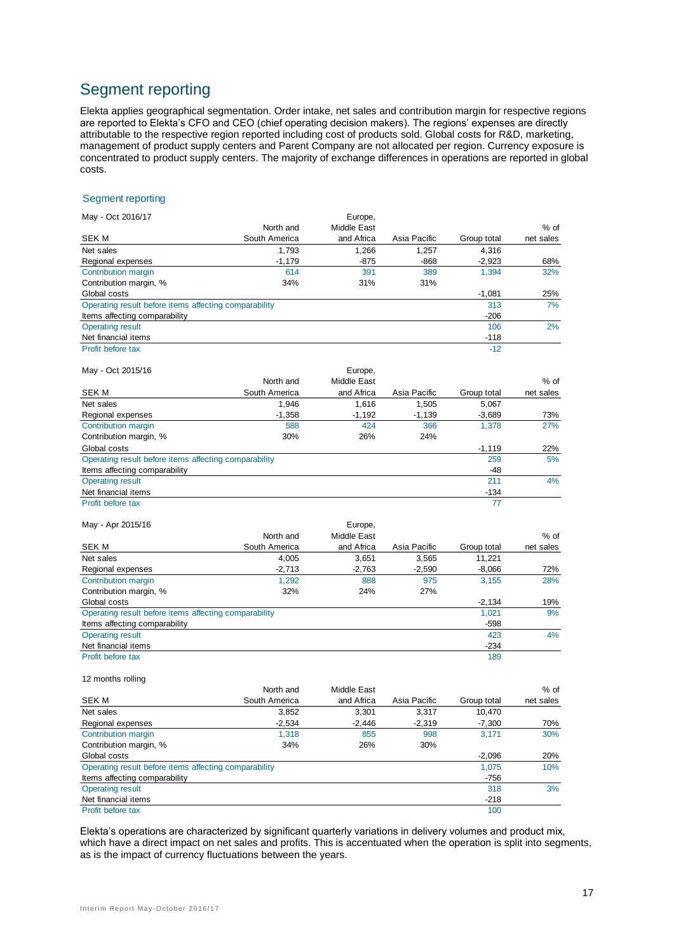## Segment reporting

Elekta applies geographical segmentation. Order intake, net sales and contribution margin for respective regions are reported to Elekta's CFO and CEO (chief operating decision makers). The regions' expenses are directly attributable to the respective region reported including cost of products sold. Global costs for R&D, marketing, management of product supply centers and Parent Company are not allocated per region. Currency exposure is concentrated to product supply centers. The majority of exchange differences in operations are reported in global costs.

#### Segment reporting

| May - Oct 2016/17                                     |               | Europe,     |              |             |           |
|-------------------------------------------------------|---------------|-------------|--------------|-------------|-----------|
|                                                       | North and     | Middle East |              |             | $%$ of    |
| <b>SEK M</b>                                          | South America | and Africa  | Asia Pacific | Group total | net sales |
| Net sales                                             | 1,793         | 1,266       | 1,257        | 4,316       |           |
| Regional expenses                                     | $-1,179$      | -875        | -868         | $-2,923$    | 68%       |
| Contribution margin                                   | 614           | 391         | 389          | 1.394       | 32%       |
| Contribution margin, %                                | 34%           | 31%         | 31%          |             |           |
| Global costs                                          |               |             |              | $-1,081$    | 25%       |
| Operating result before items affecting comparability |               |             |              | 313         | 7%        |
| Items affecting comparability                         |               |             |              | $-206$      |           |
| <b>Operating result</b>                               |               |             |              | 106         | 2%        |
| Net financial items                                   |               |             |              | $-118$      |           |
| Profit before tax                                     |               |             |              | $-12$       |           |
| May - Oct 2015/16                                     |               | Europe,     |              |             |           |
|                                                       | North and     | Middle East |              |             | $%$ of    |
| SEK M                                                 | South America | and Africa  | Asia Pacific | Group total | net sales |
| Net sales                                             | 1,946         | 1,616       | 1,505        | 5,067       |           |
| Regional expenses                                     | $-1,358$      | $-1,192$    | $-1,139$     | $-3,689$    | 73%       |
| Contribution margin                                   | 588           | 424         | 366          | 1,378       | 27%       |
| Contribution margin, %                                | 30%           | 26%         | 24%          |             |           |
| Global costs                                          |               |             |              | $-1,119$    | 22%       |
| Operating result before items affecting comparability |               |             |              | 259         | 5%        |
| Items affecting comparability                         |               |             |              | -48         |           |
| <b>Operating result</b>                               |               |             |              | 211         | 4%        |
| Net financial items                                   |               |             |              | $-134$      |           |
| Profit before tax                                     |               |             |              | 77          |           |
| May - Apr 2015/16                                     |               | Europe,     |              |             |           |
|                                                       | North and     | Middle East |              |             | $%$ of    |
| <b>SEK M</b>                                          | South America | and Africa  | Asia Pacific | Group total | net sales |
| Net sales                                             | 4,005         | 3,651       | 3,565        | 11,221      |           |
| Regional expenses                                     | $-2,713$      | $-2,763$    | $-2,590$     | $-8,066$    | 72%       |
| Contribution margin                                   | 1,292         | 888         | 975          | 3,155       | 28%       |
| Contribution margin, %                                | 32%           | 24%         | 27%          |             |           |
| Global costs                                          |               |             |              | $-2,134$    | 19%       |
| Operating result before items affecting comparability |               |             |              | 1,021       | 9%        |
| Items affecting comparability                         |               |             |              | $-598$      |           |
| Operating result                                      |               |             |              | 423         | 4%        |
| Net financial items                                   |               |             |              | $-234$      |           |
| Profit before tax                                     |               |             |              | 189         |           |
| 12 months rolling                                     |               |             |              |             |           |
|                                                       | North and     | Middle East |              |             | % of      |
| <b>SEK M</b>                                          | South America | and Africa  | Asia Pacific | Group total | net sales |

| SEK M                                                 | South America | and Africa | Asia Pacific | Group total | net sales |
|-------------------------------------------------------|---------------|------------|--------------|-------------|-----------|
| Net sales                                             | 3,852         | 3.301      | 3.317        | 10.470      |           |
| Regional expenses                                     | $-2.534$      | $-2.446$   | $-2.319$     | $-7,300$    | 70%       |
| Contribution margin                                   | 1.318         | 855        | 998          | 3.171       | 30%       |
| Contribution margin, %                                | 34%           | 26%        | 30%          |             |           |
| Global costs                                          |               |            |              | $-2.096$    | 20%       |
| Operating result before items affecting comparability |               |            |              | 1.075       | 10%       |
| Items affecting comparability                         |               |            |              | $-756$      |           |
| <b>Operating result</b>                               |               |            |              | 318         | 3%        |
| Net financial items                                   |               |            |              | $-218$      |           |
| Profit before tax                                     |               |            |              | 100         |           |

Elekta's operations are characterized by significant quarterly variations in delivery volumes and product mix, which have a direct impact on net sales and profits. This is accentuated when the operation is split into segments, as is the impact of currency fluctuations between the years.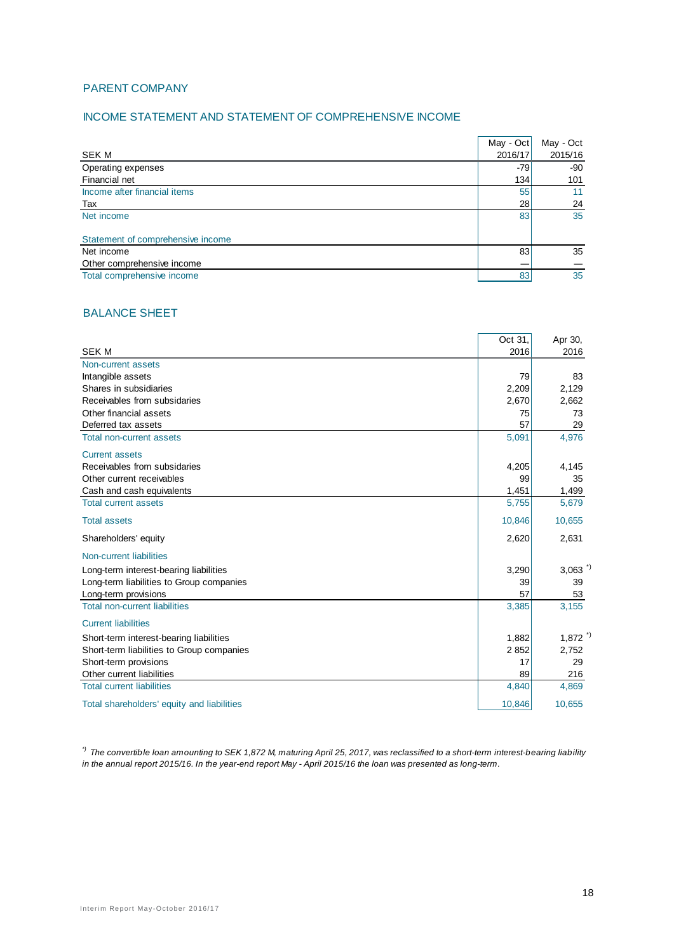#### PARENT COMPANY

#### INCOME STATEMENT AND STATEMENT OF COMPREHENSIVE INCOME

|                                   | May - Oct | May - Oct |
|-----------------------------------|-----------|-----------|
| <b>SEK M</b>                      | 2016/17   | 2015/16   |
| Operating expenses                | $-79$     | -90       |
| Financial net                     | 134       | 101       |
| Income after financial items      | 55        | 11        |
| Tax                               | 28        | 24        |
| Net income                        | 83        | 35        |
|                                   |           |           |
| Statement of comprehensive income |           |           |
| Net income                        | 83        | 35        |
| Other comprehensive income        |           |           |
| Total comprehensive income        | 83        | 35        |

#### BALANCE SHEET

|                                            | Oct 31, | Apr 30,               |
|--------------------------------------------|---------|-----------------------|
| <b>SEKM</b>                                | 2016    | 2016                  |
| Non-current assets                         |         |                       |
| Intangible assets                          | 79      | 83                    |
| Shares in subsidiaries                     | 2,209   | 2,129                 |
| Receivables from subsidaries               | 2,670   | 2,662                 |
| Other financial assets                     | 75      | 73                    |
| Deferred tax assets                        | 57      | 29                    |
| <b>Total non-current assets</b>            | 5,091   | 4,976                 |
| <b>Current assets</b>                      |         |                       |
| Receivables from subsidaries               | 4,205   | 4,145                 |
| Other current receivables                  | 99      | 35                    |
| Cash and cash equivalents                  | 1,451   | 1,499                 |
| <b>Total current assets</b>                | 5,755   | 5,679                 |
| <b>Total assets</b>                        | 10,846  | 10,655                |
| Shareholders' equity                       | 2,620   | 2,631                 |
| Non-current liabilities                    |         |                       |
| Long-term interest-bearing liabilities     | 3,290   | $3,063$ <sup>*)</sup> |
| Long-term liabilities to Group companies   | 39      | 39                    |
| Long-term provisions                       | 57      | 53                    |
| <b>Total non-current liabilities</b>       | 3,385   | 3,155                 |
| <b>Current liabilities</b>                 |         |                       |
| Short-term interest-bearing liabilities    | 1,882   | $1,872$ <sup>*)</sup> |
| Short-term liabilities to Group companies  | 2852    | 2,752                 |
| Short-term provisions                      | 17      | 29                    |
| Other current liabilities                  | 89      | 216                   |
| <b>Total current liabilities</b>           | 4,840   | 4,869                 |
| Total shareholders' equity and liabilities | 10,846  | 10,655                |

*\*) The convertible loan amounting to SEK 1,872 M, maturing April 25, 2017, was reclassified to a short-term interest-bearing liability in the annual report 2015/16. In the year-end report May - April 2015/16 the loan was presented as long-term.*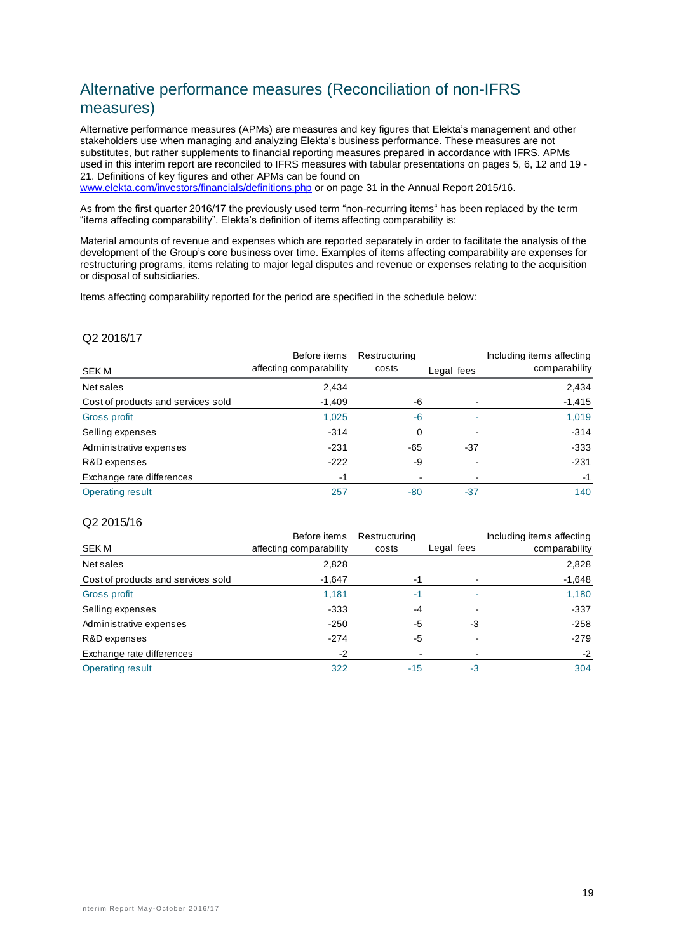## Alternative performance measures (Reconciliation of non-IFRS measures)

Alternative performance measures (APMs) are measures and key figures that Elekta's management and other stakeholders use when managing and analyzing Elekta's business performance. These measures are not substitutes, but rather supplements to financial reporting measures prepared in accordance with IFRS. APMs used in this interim report are reconciled to IFRS measures with tabular presentations on pages 5, 6, 12 and 19 - 21. Definitions of key figures and other APMs can be found on

[www.elekta.com/investors/financials/definitions.php](http://www.elekta.com/investors/financials/definitions.php) or on page 31 in the Annual Report 2015/16.

As from the first quarter 2016/17 the previously used term "non-recurring items" has been replaced by the term "items affecting comparability". Elekta's definition of items affecting comparability is:

Material amounts of revenue and expenses which are reported separately in order to facilitate the analysis of the development of the Group's core business over time. Examples of items affecting comparability are expenses for restructuring programs, items relating to major legal disputes and revenue or expenses relating to the acquisition or disposal of subsidiaries.

Items affecting comparability reported for the period are specified in the schedule below:

#### Q2 2016/17

|                                    | Before items            | Restructuring |            | Including items affecting |
|------------------------------------|-------------------------|---------------|------------|---------------------------|
| <b>SEK M</b>                       | affecting comparability | costs         | Legal fees | comparability             |
| Net sales                          | 2,434                   |               |            | 2,434                     |
| Cost of products and services sold | $-1,409$                | -6            |            | $-1,415$                  |
| Gross profit                       | 1,025                   | $-6$          |            | 1,019                     |
| Selling expenses                   | $-314$                  | 0             |            | $-314$                    |
| Administrative expenses            | $-231$                  | -65           | $-37$      | $-333$                    |
| R&D expenses                       | $-222$                  | -9            |            | $-231$                    |
| Exchange rate differences          | -1                      |               |            | -1                        |
| <b>Operating result</b>            | 257                     | $-80$         | $-37$      | 140                       |

#### Q2 2015/16

|                                    | Before items            | Restructuring |            | Including items affecting |
|------------------------------------|-------------------------|---------------|------------|---------------------------|
| SEK M                              | affecting comparability | costs         | Legal fees | comparability             |
| Net sales                          | 2,828                   |               |            | 2,828                     |
| Cost of products and services sold | $-1,647$                | -1            |            | $-1,648$                  |
| Gross profit                       | 1,181                   | -1            |            | 1,180                     |
| Selling expenses                   | $-333$                  | -4            |            | $-337$                    |
| Administrative expenses            | $-250$                  | -5            | -3         | $-258$                    |
| R&D expenses                       | $-274$                  | -5            |            | $-279$                    |
| Exchange rate differences          | $-2$                    |               |            | $-2$                      |
| <b>Operating result</b>            | 322                     | $-15$         | -3         | 304                       |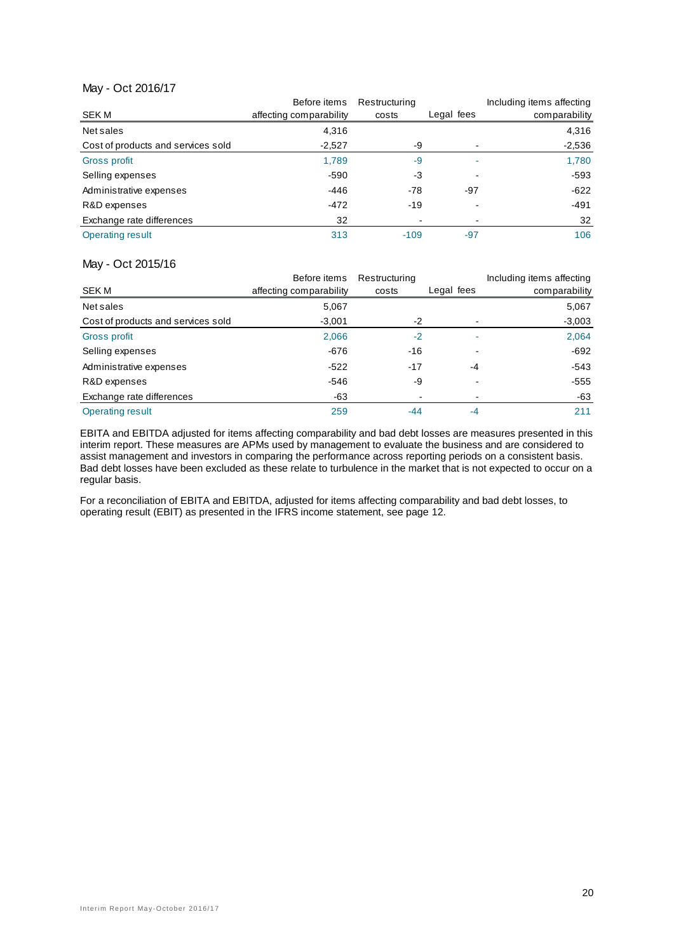#### May - Oct 2016/17

|                                    | Before items            | Restructuring |            | Including items affecting |
|------------------------------------|-------------------------|---------------|------------|---------------------------|
| SEK M                              | affecting comparability | costs         | Legal fees | comparability             |
| Net sales                          | 4.316                   |               |            | 4,316                     |
| Cost of products and services sold | $-2,527$                | -9            |            | $-2,536$                  |
| Gross profit                       | 1,789                   | -9            |            | 1,780                     |
| Selling expenses                   | $-590$                  | -3            |            | -593                      |
| Administrative expenses            | -446                    | $-78$         | -97        | $-622$                    |
| R&D expenses                       | $-472$                  | $-19$         |            | $-491$                    |
| Exchange rate differences          | 32                      |               |            | 32                        |
| <b>Operating result</b>            | 313                     | $-109$        | $-97$      | 106                       |

#### May - Oct 2015/16

|                                    | Before items            | Restructuring  |            | Including items affecting |
|------------------------------------|-------------------------|----------------|------------|---------------------------|
| SEK M                              | affecting comparability | costs          | Legal fees | comparability             |
| Net sales                          | 5,067                   |                |            | 5,067                     |
| Cost of products and services sold | $-3,001$                | -2             |            | $-3,003$                  |
| Gross profit                       | 2,066                   | $-2$           |            | 2,064                     |
| Selling expenses                   | $-676$                  | -16            |            | $-692$                    |
| Administrative expenses            | $-522$                  | $-17$          | -4         | $-543$                    |
| R&D expenses                       | $-546$                  | -9             |            | $-555$                    |
| Exchange rate differences          | -63                     | $\blacksquare$ |            | -63                       |
| Operating result                   | 259                     | -44            | -4         | 211                       |

EBITA and EBITDA adjusted for items affecting comparability and bad debt losses are measures presented in this interim report. These measures are APMs used by management to evaluate the business and are considered to assist management and investors in comparing the performance across reporting periods on a consistent basis. Bad debt losses have been excluded as these relate to turbulence in the market that is not expected to occur on a regular basis.

For a reconciliation of EBITA and EBITDA, adjusted for items affecting comparability and bad debt losses, to operating result (EBIT) as presented in the IFRS income statement, see page 12.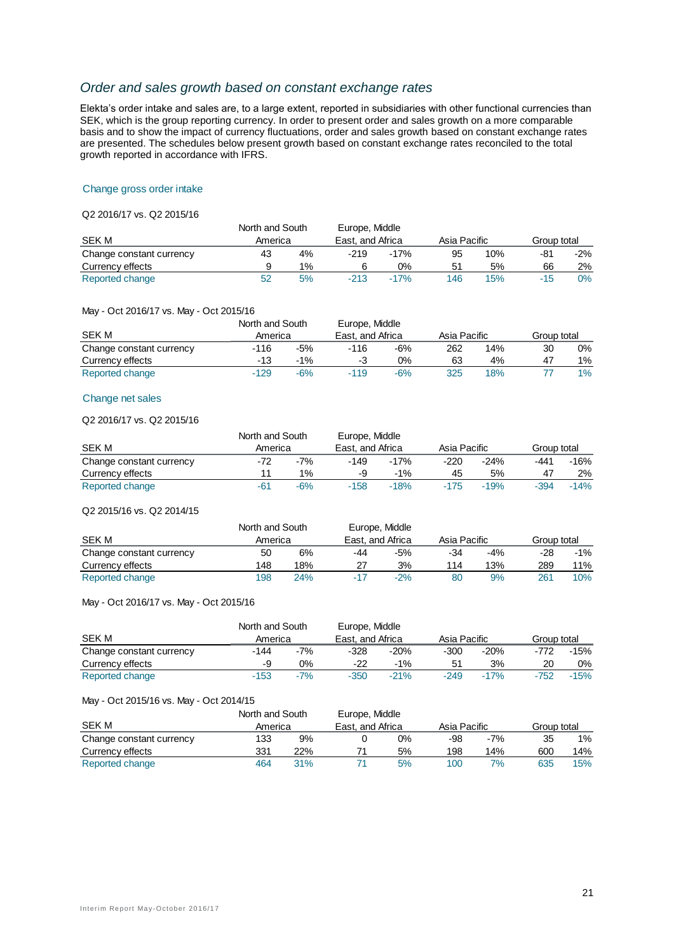#### *Order and sales growth based on constant exchange rates*

Elekta's order intake and sales are, to a large extent, reported in subsidiaries with other functional currencies than SEK, which is the group reporting currency. In order to present order and sales growth on a more comparable basis and to show the impact of currency fluctuations, order and sales growth based on constant exchange rates are presented. The schedules below present growth based on constant exchange rates reconciled to the total growth reported in accordance with IFRS.

#### Change gross order intake

#### Q2 2016/17 vs. Q2 2015/16

|                          | North and South |       | Europe, Middle |                  |     |              |       |             |  |
|--------------------------|-----------------|-------|----------------|------------------|-----|--------------|-------|-------------|--|
| SEK M                    | America         |       |                | East, and Africa |     | Asia Pacific |       | Group total |  |
| Change constant currency | 43              | 4%    | $-219$         | $-17%$           | 95  | 10%          | -81   | $-2\%$      |  |
| Currency effects         |                 | $1\%$ |                | 0%               | 51  | 5%           | 66    | 2%          |  |
| Reported change          | 52              | 5%    | $-213$         | $-17%$           | 146 | 15%          | $-15$ | 0%          |  |

#### May - Oct 2016/17 vs. May - Oct 2015/16

|                          | North and South |       | Europe, Middle   |       |              |     |             |       |
|--------------------------|-----------------|-------|------------------|-------|--------------|-----|-------------|-------|
| SEK M                    | America         |       | East, and Africa |       | Asia Pacific |     | Group total |       |
| Change constant currency | -116            | $-5%$ | $-116$           | -6%   | 262          | 14% | 30          | 0%    |
| Currency effects         | -13             | $-1%$ | -3               | 0%    | 63           | 4%  | 47          | $1\%$ |
| Reported change          | $-129$          | $-6%$ | $-119$           | $-6%$ | 325          | 18% |             | 1%    |

#### Change net sales

#### Q2 2016/17 vs. Q2 2015/16

|                          | North and South             |       | Europe, Middle |        |        |             |        |        |
|--------------------------|-----------------------------|-------|----------------|--------|--------|-------------|--------|--------|
| <b>SEK M</b>             | East, and Africa<br>America |       | Asia Pacific   |        |        | Group total |        |        |
| Change constant currency | -72                         | $-7%$ | -149           | $-17%$ | $-220$ | $-24%$      | -441   | -16%   |
| Currency effects         |                             | $1\%$ |                | $-1%$  | 45     | 5%          | 47     | 2%     |
| Reported change          | -61                         | $-6%$ | $-158$         | $-18%$ | $-175$ | $-19%$      | $-394$ | $-14%$ |

#### Q2 2015/16 vs. Q2 2014/15

|                          | North and South |     |                  | Europe, Middle |              |       |             |        |
|--------------------------|-----------------|-----|------------------|----------------|--------------|-------|-------------|--------|
| SEK M                    | America         |     | East, and Africa |                | Asia Pacific |       | Group total |        |
| Change constant currency | 50              | 6%  | -44              | -5%            | -34          | $-4%$ | -28         | $-1\%$ |
| Currency effects         | 148             | 18% |                  | 3%             | 114          | 13%   | 289         | 11%    |
| Reported change          | 198             | 24% | $-17$            | $-2%$          | 80           | 9%    | 261         | 10%    |

#### May - Oct 2016/17 vs. May - Oct 2015/16

|                          | North and South |         | Europe, Middle |                  |        |              |             |        |
|--------------------------|-----------------|---------|----------------|------------------|--------|--------------|-------------|--------|
| SEK M                    |                 | America |                | East, and Africa |        | Asia Pacific | Group total |        |
| Change constant currency | -144            | $-7%$   | $-328$         | $-20%$           | $-300$ | $-20%$       | -772        | -15%   |
| Currency effects         | -9              | $0\%$   | -22            | $-1%$            | 51     | 3%           | 20          | 0%     |
| Reported change          | $-153$          | $-7%$   | $-350$         | $-21%$           | $-249$ | $-17%$       | $-752$      | $-15%$ |

#### May - Oct 2015/16 vs. May - Oct 2014/15

|                          | North and South |     | Europe, Middle   |    |              |       |             |     |
|--------------------------|-----------------|-----|------------------|----|--------------|-------|-------------|-----|
| <b>SEK M</b>             | America         |     | East, and Africa |    | Asia Pacific |       | Group total |     |
| Change constant currency | 133             | 9%  |                  | 0% | -98          | $-7%$ | 35          | 1%  |
| Currency effects         | 331             | 22% |                  | 5% | 198          | 14%   | 600         | 14% |
| Reported change          | 464             | 31% |                  | 5% | 100          | 7%    | 635         | 15% |